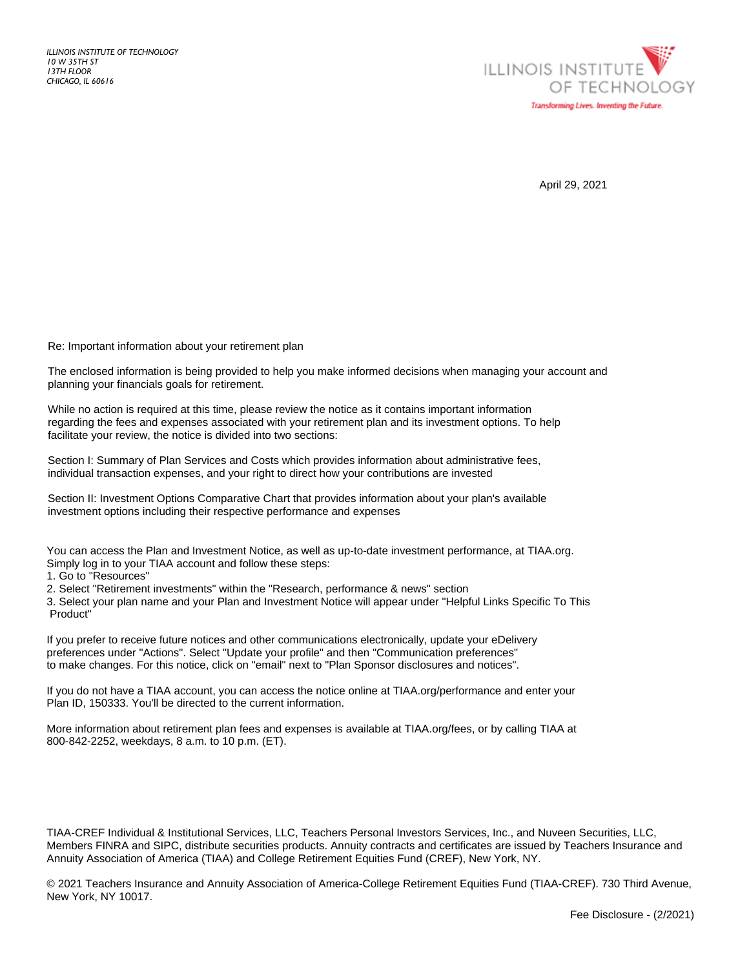

April 29, 2021

Re: Important information about your retirement plan

The enclosed information is being provided to help you make informed decisions when managing your account and planning your financials goals for retirement.

While no action is required at this time, please review the notice as it contains important information regarding the fees and expenses associated with your retirement plan and its investment options. To help facilitate your review, the notice is divided into two sections:

Section I: Summary of Plan Services and Costs which provides information about administrative fees, individual transaction expenses, and your right to direct how your contributions are invested

Section II: Investment Options Comparative Chart that provides information about your plan's available investment options including their respective performance and expenses

You can access the Plan and Investment Notice, as well as up-to-date investment performance, at TIAA.org. Simply log in to your TIAA account and follow these steps:

1. Go to "Resources"

2. Select "Retirement investments" within the "Research, performance & news" section

3. Select your plan name and your Plan and Investment Notice will appear under "Helpful Links Specific To This Product"

If you prefer to receive future notices and other communications electronically, update your eDelivery preferences under "Actions". Select "Update your profile" and then "Communication preferences" to make changes. For this notice, click on "email" next to "Plan Sponsor disclosures and notices".

If you do not have a TIAA account, you can access the notice online at TIAA.org/performance and enter your Plan ID, 150333. You'll be directed to the current information.

More information about retirement plan fees and expenses is available at TIAA.org/fees, or by calling TIAA at 800-842-2252, weekdays, 8 a.m. to 10 p.m. (ET).

TIAA-CREF Individual & Institutional Services, LLC, Teachers Personal Investors Services, Inc., and Nuveen Securities, LLC, Members FINRA and SIPC, distribute securities products. Annuity contracts and certificates are issued by Teachers Insurance and Annuity Association of America (TIAA) and College Retirement Equities Fund (CREF), New York, NY.

© 2021 Teachers Insurance and Annuity Association of America-College Retirement Equities Fund (TIAA-CREF). 730 Third Avenue, New York, NY 10017.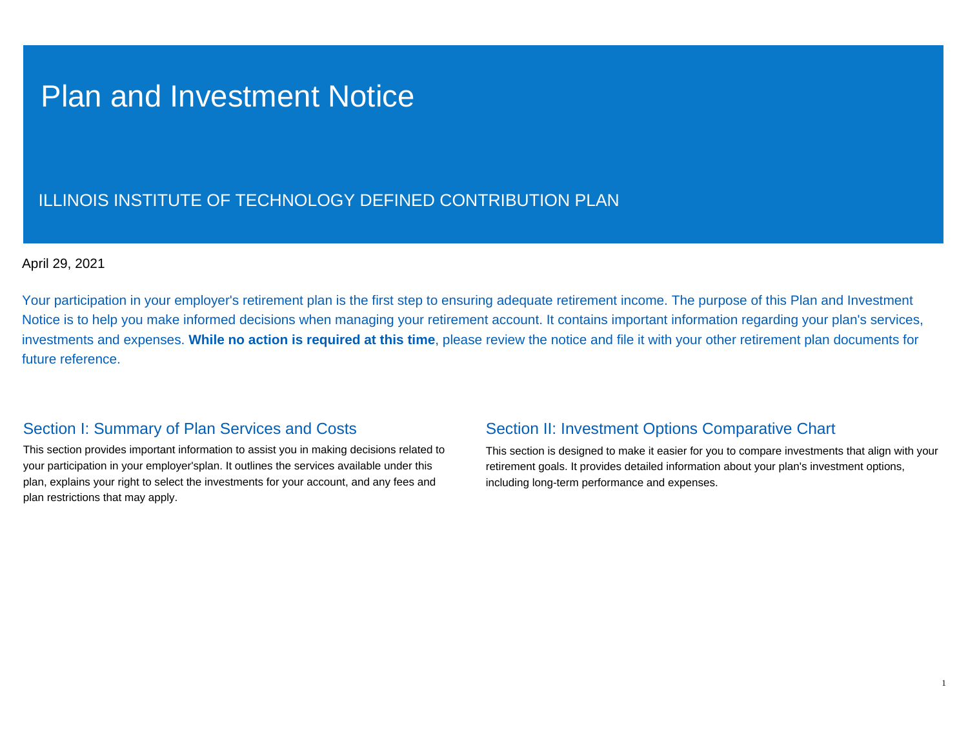# Plan and Investment Notice

## ILLINOIS INSTITUTE OF TECHNOLOGY DEFINED CONTRIBUTION PLAN

### April 29, 2021

Your participation in your employer's retirement plan is the first step to ensuring adequate retirement income. The purpose of this Plan and Investment Notice is to help you make informed decisions when managing your retirement account. It contains important information regarding your plan's services, investments and expenses. **While no action is required at this time**, please review the notice and file it with your other retirement plan documents for future reference.

### Section I: Summary of Plan Services and Costs

This section provides important information to assist you in making decisions related to your participation in your employer'splan. It outlines the services available under this plan, explains your right to select the investments for your account, and any fees and plan restrictions that may apply.

### Section II: Investment Options Comparative Chart

This section is designed to make it easier for you to compare investments that align with your retirement goals. It provides detailed information about your plan's investment options, including long-term performance and expenses.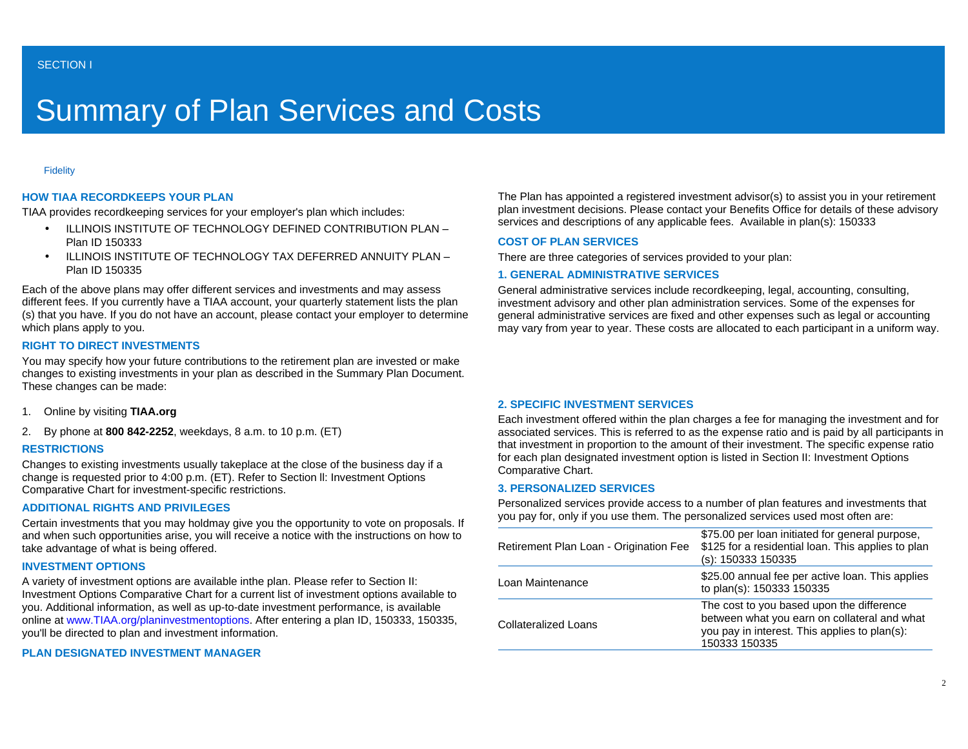# Summary of Plan Services and Costs

#### **Fidelity**

#### **HOW TIAA RECORDKEEPS YOUR PLAN**

TIAA provides recordkeeping services for your employer's plan which includes:

- ILLINOIS INSTITUTE OF TECHNOLOGY DEFINED CONTRIBUTION PLAN Plan ID 150333
- ILLINOIS INSTITUTE OF TECHNOLOGY TAX DEFERRED ANNUITY PLAN Plan ID 150335

Each of the above plans may offer different services and investments and may assess different fees. If you currently have a TIAA account, your quarterly statement lists the plan (s) that you have. If you do not have an account, please contact your employer to determine which plans apply to you.

#### **RIGHT TO DIRECT INVESTMENTS**

You may specify how your future contributions to the retirement plan are invested or make changes to existing investments in your plan as described in the Summary Plan Document. These changes can be made:

- 1. Online by visiting **TIAA.org**
- 2. By phone at **800 842-2252**, weekdays, 8 a.m. to 10 p.m. (ET)

#### **RESTRICTIONS**

Changes to existing investments usually takeplace at the close of the business day if a change is requested prior to 4:00 p.m. (ET). Refer to Section ll: Investment Options Comparative Chart for investment-specific restrictions.

#### **ADDITIONAL RIGHTS AND PRIVILEGES**

Certain investments that you may holdmay give you the opportunity to vote on proposals. If and when such opportunities arise, you will receive a notice with the instructions on how to take advantage of what is being offered.

#### **INVESTMENT OPTIONS**

A variety of investment options are available inthe plan. Please refer to Section II: Investment Options Comparative Chart for a current list of investment options available to you. Additional information, as well as up-to-date investment performance, is available online at www.TIAA.org/planinvestmentoptions. After entering a plan ID, 150333, 150335, you'll be directed to plan and investment information.

#### **PLAN DESIGNATED INVESTMENT MANAGER**

The Plan has appointed a registered investment advisor(s) to assist you in your retirement plan investment decisions. Please contact your Benefits Office for details of these advisory services and descriptions of any applicable fees. Available in plan(s): 150333

#### **COST OF PLAN SERVICES**

There are three categories of services provided to your plan:

#### **1. GENERAL ADMINISTRATIVE SERVICES**

General administrative services include recordkeeping, legal, accounting, consulting, investment advisory and other plan administration services. Some of the expenses for general administrative services are fixed and other expenses such as legal or accounting may vary from year to year. These costs are allocated to each participant in a uniform way.

#### **2. SPECIFIC INVESTMENT SERVICES**

Each investment offered within the plan charges a fee for managing the investment and for associated services. This is referred to as the expense ratio and is paid by all participants in that investment in proportion to the amount of their investment. The specific expense ratio for each plan designated investment option is listed in Section II: Investment Options Comparative Chart.

#### **3. PERSONALIZED SERVICES**

Personalized services provide access to a number of plan features and investments that you pay for, only if you use them. The personalized services used most often are:

| Retirement Plan Loan - Origination Fee | \$75.00 per loan initiated for general purpose,<br>\$125 for a residential loan. This applies to plan<br>$(s)$ : 150333 150335                              |
|----------------------------------------|-------------------------------------------------------------------------------------------------------------------------------------------------------------|
| Loan Maintenance                       | \$25.00 annual fee per active loan. This applies<br>to plan(s): 150333 150335                                                                               |
| <b>Collateralized Loans</b>            | The cost to you based upon the difference<br>between what you earn on collateral and what<br>you pay in interest. This applies to plan(s):<br>150333 150335 |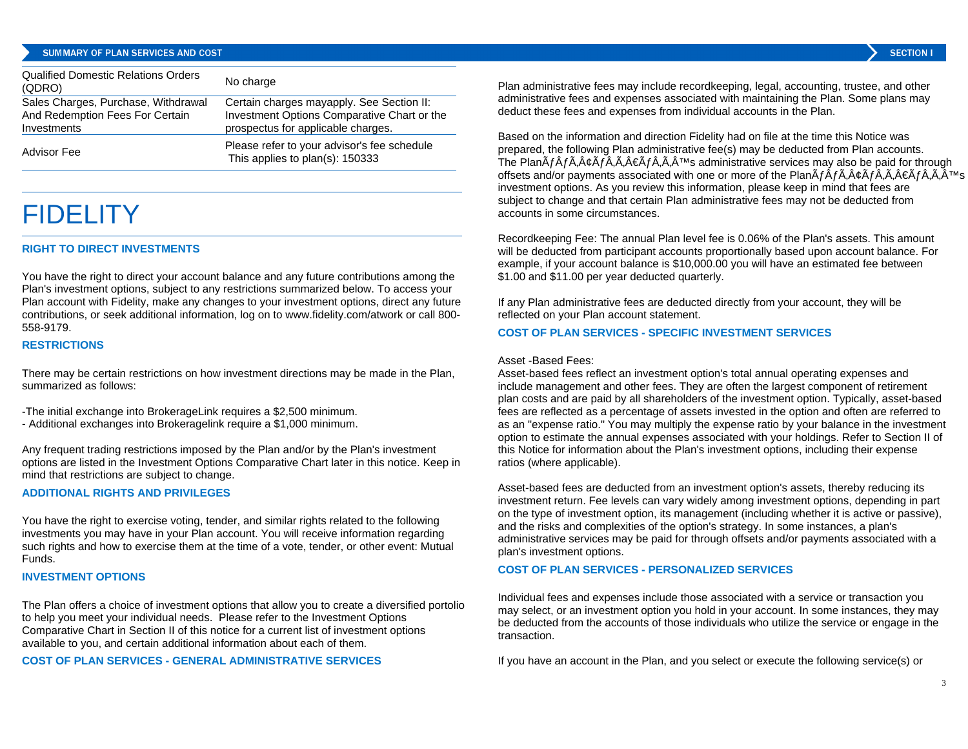#### SUMMARY OF PLAN SERVICES AND COST

| <b>Qualified Domestic Relations Orders</b><br>(QDRO)                                  | No charge                                                                                                                      |
|---------------------------------------------------------------------------------------|--------------------------------------------------------------------------------------------------------------------------------|
| Sales Charges, Purchase, Withdrawal<br>And Redemption Fees For Certain<br>Investments | Certain charges mayapply. See Section II:<br>Investment Options Comparative Chart or the<br>prospectus for applicable charges. |
| Advisor Fee                                                                           | Please refer to your advisor's fee schedule<br>This applies to plan(s): 150333                                                 |

## **FIDELITY**

#### **RIGHT TO DIRECT INVESTMENTS**

You have the right to direct your account balance and any future contributions among the Plan's investment options, subject to any restrictions summarized below. To access your Plan account with Fidelity, make any changes to your investment options, direct any future contributions, or seek additional information, log on to www.fidelity.com/atwork or call 800- 558-9179.

#### **RESTRICTIONS**

There may be certain restrictions on how investment directions may be made in the Plan, summarized as follows:

-The initial exchange into BrokerageLink requires a \$2,500 minimum.

- Additional exchanges into Brokeragelink require a \$1,000 minimum.

Any frequent trading restrictions imposed by the Plan and/or by the Plan's investment options are listed in the Investment Options Comparative Chart later in this notice. Keep in mind that restrictions are subject to change.

#### **ADDITIONAL RIGHTS AND PRIVILEGES**

You have the right to exercise voting, tender, and similar rights related to the following investments you may have in your Plan account. You will receive information regarding such rights and how to exercise them at the time of a vote, tender, or other event: Mutual Funds.

#### **INVESTMENT OPTIONS**

The Plan offers a choice of investment options that allow you to create a diversified portolio to help you meet your individual needs. Please refer to the Investment Options Comparative Chart in Section II of this notice for a current list of investment options available to you, and certain additional information about each of them.

#### **COST OF PLAN SERVICES - GENERAL ADMINISTRATIVE SERVICES**

Plan administrative fees may include recordkeeping, legal, accounting, trustee, and other administrative fees and expenses associated with maintaining the Plan. Some plans may deduct these fees and expenses from individual accounts in the Plan.

Based on the information and direction Fidelity had on file at the time this Notice was prepared, the following Plan administrative fee(s) may be deducted from Plan accounts. The Plan $\tilde{A}f\hat{A}f\tilde{A}$ ,  $\hat{A}g\tilde{A}f\tilde{A}$ ,  $\tilde{A}f\tilde{A}f\tilde{A}$ ,  $\tilde{A}f\tilde{A}f\tilde{A}$ ,  $\tilde{A}f\tilde{A}f\tilde{A}f$ ,  $\tilde{A}f\tilde{A}f\tilde{A}f$  administrative services may also be paid for through offsets and/or payments associated with one or more of the Plan $\tilde{A}f\tilde{A}f\tilde{A}$ , $\tilde{A}e\tilde{A}f\tilde{A}$ , $\tilde{A}e\tilde{A}f\tilde{A}$ , $\tilde{A}^{\text{TM}}$ s investment options. As you review this information, please keep in mind that fees are subject to change and that certain Plan administrative fees may not be deducted from accounts in some circumstances.

Recordkeeping Fee: The annual Plan level fee is 0.06% of the Plan's assets. This amount will be deducted from participant accounts proportionally based upon account balance. For example, if your account balance is \$10,000.00 you will have an estimated fee between \$1.00 and \$11.00 per year deducted quarterly.

If any Plan administrative fees are deducted directly from your account, they will be reflected on your Plan account statement.

#### **COST OF PLAN SERVICES - SPECIFIC INVESTMENT SERVICES**

#### Asset -Based Fees:

Asset-based fees reflect an investment option's total annual operating expenses and include management and other fees. They are often the largest component of retirement plan costs and are paid by all shareholders of the investment option. Typically, asset-based fees are reflected as a percentage of assets invested in the option and often are referred to as an "expense ratio." You may multiply the expense ratio by your balance in the investment option to estimate the annual expenses associated with your holdings. Refer to Section II of this Notice for information about the Plan's investment options, including their expense ratios (where applicable).

Asset-based fees are deducted from an investment option's assets, thereby reducing its investment return. Fee levels can vary widely among investment options, depending in part on the type of investment option, its management (including whether it is active or passive), and the risks and complexities of the option's strategy. In some instances, a plan's administrative services may be paid for through offsets and/or payments associated with a plan's investment options.

#### **COST OF PLAN SERVICES - PERSONALIZED SERVICES**

Individual fees and expenses include those associated with a service or transaction you may select, or an investment option you hold in your account. In some instances, they may be deducted from the accounts of those individuals who utilize the service or engage in the transaction.

If you have an account in the Plan, and you select or execute the following service(s) or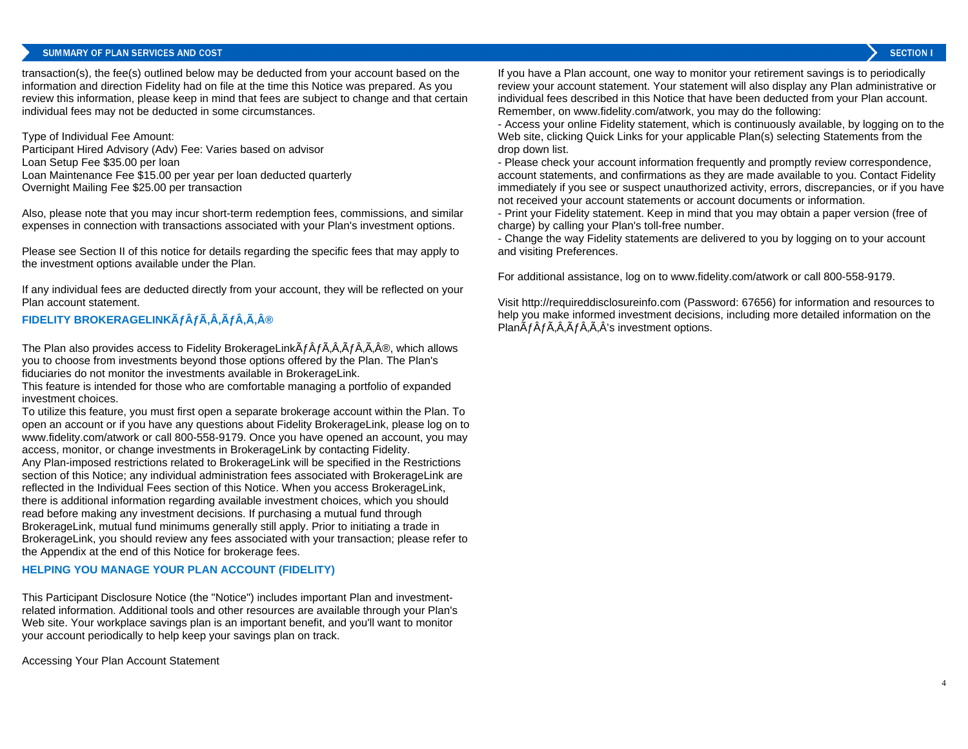#### SUMMARY OF PLAN SERVICES AND COST

**SECTION I** 

transaction(s), the fee(s) outlined below may be deducted from your account based on the information and direction Fidelity had on file at the time this Notice was prepared. As you review this information, please keep in mind that fees are subject to change and that certain individual fees may not be deducted in some circumstances.

Type of Individual Fee Amount: Participant Hired Advisory (Adv) Fee: Varies based on advisor Loan Setup Fee \$35.00 per loan Loan Maintenance Fee \$15.00 per year per loan deducted quarterly Overnight Mailing Fee \$25.00 per transaction

Also, please note that you may incur short-term redemption fees, commissions, and similar expenses in connection with transactions associated with your Plan's investment options.

Please see Section II of this notice for details regarding the specific fees that may apply to the investment options available under the Plan.

If any individual fees are deducted directly from your account, they will be reflected on your Plan account statement.

#### **FIDELITY BROKERAGELINKÄfÂfÂ,Â,ÃfÂ,®**

The Plan also provides access to Fidelity BrokerageLink $\tilde{A}f\hat{A}f\hat{A}f\hat{A}f\hat{A}A\hat{A}$ . which allows you to choose from investments beyond those options offered by the Plan. The Plan's fiduciaries do not monitor the investments available in BrokerageLink.

This feature is intended for those who are comfortable managing a portfolio of expanded investment choices.

To utilize this feature, you must first open a separate brokerage account within the Plan. To open an account or if you have any questions about Fidelity BrokerageLink, please log on to www.fidelity.com/atwork or call 800-558-9179. Once you have opened an account, you may access, monitor, or change investments in BrokerageLink by contacting Fidelity. Any Plan-imposed restrictions related to BrokerageLink will be specified in the Restrictions section of this Notice; any individual administration fees associated with BrokerageLink are reflected in the Individual Fees section of this Notice. When you access BrokerageLink, there is additional information regarding available investment choices, which you should read before making any investment decisions. If purchasing a mutual fund through BrokerageLink, mutual fund minimums generally still apply. Prior to initiating a trade in BrokerageLink, you should review any fees associated with your transaction; please refer to the Appendix at the end of this Notice for brokerage fees.

#### **HELPING YOU MANAGE YOUR PLAN ACCOUNT (FIDELITY)**

This Participant Disclosure Notice (the "Notice") includes important Plan and investmentrelated information. Additional tools and other resources are available through your Plan's Web site. Your workplace savings plan is an important benefit, and you'll want to monitor your account periodically to help keep your savings plan on track.

Accessing Your Plan Account Statement

If you have a Plan account, one way to monitor your retirement savings is to periodically review your account statement. Your statement will also display any Plan administrative or individual fees described in this Notice that have been deducted from your Plan account. Remember, on www.fidelity.com/atwork, you may do the following:

- Access your online Fidelity statement, which is continuously available, by logging on to the Web site, clicking Quick Links for your applicable Plan(s) selecting Statements from the drop down list.

- Please check your account information frequently and promptly review correspondence, account statements, and confirmations as they are made available to you. Contact Fidelity immediately if you see or suspect unauthorized activity, errors, discrepancies, or if you have not received your account statements or account documents or information.

- Print your Fidelity statement. Keep in mind that you may obtain a paper version (free of charge) by calling your Plan's toll-free number.

- Change the way Fidelity statements are delivered to you by logging on to your account and visiting Preferences.

For additional assistance, log on to www.fidelity.com/atwork or call 800-558-9179.

Visit http://requireddisclosureinfo.com (Password: 67656) for information and resources to help you make informed investment decisions, including more detailed information on the Plan $\tilde{A}f\tilde{A}f\tilde{A}$ , $\tilde{A}f\tilde{A}f\tilde{A}$ , $\tilde{A}f\tilde{A}$ 's investment options.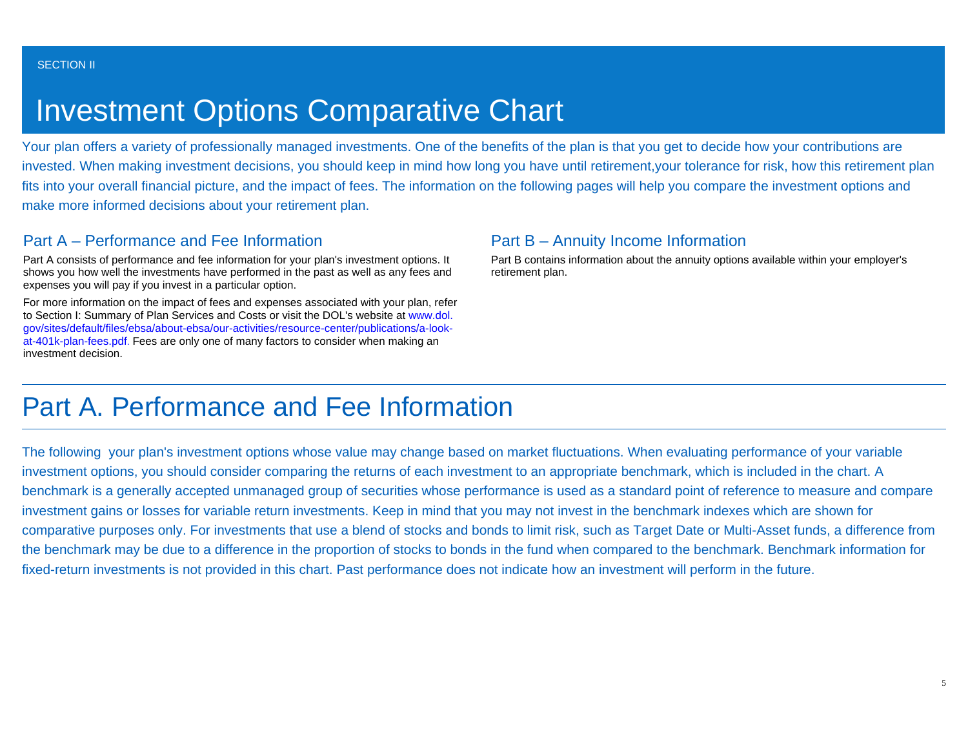# Investment Options Comparative Chart

Your plan offers a variety of professionally managed investments. One of the benefits of the plan is that you get to decide how your contributions are invested. When making investment decisions, you should keep in mind how long you have until retirement,your tolerance for risk, how this retirement plan fits into your overall financial picture, and the impact of fees. The information on the following pages will help you compare the investment options and make more informed decisions about your retirement plan.

## Part A – Performance and Fee Information

Part A consists of performance and fee information for your plan's investment options. It shows you how well the investments have performed in the past as well as any fees and expenses you will pay if you invest in a particular option.

For more information on the impact of fees and expenses associated with your plan, refer to Section I: Summary of Plan Services and Costs or visit the DOL's website at www.dol. gov/sites/default/files/ebsa/about-ebsa/our-activities/resource-center/publications/a-lookat-401k-plan-fees.pdf. Fees are only one of many factors to consider when making an investment decision.

### Part B – Annuity Income Information

Part B contains information about the annuity options available within your employer's retirement plan.

## Part A. Performance and Fee Information

The following your plan's investment options whose value may change based on market fluctuations. When evaluating performance of your variable investment options, you should consider comparing the returns of each investment to an appropriate benchmark, which is included in the chart. A benchmark is a generally accepted unmanaged group of securities whose performance is used as a standard point of reference to measure and compare investment gains or losses for variable return investments. Keep in mind that you may not invest in the benchmark indexes which are shown for comparative purposes only. For investments that use a blend of stocks and bonds to limit risk, such as Target Date or Multi-Asset funds, a difference from the benchmark may be due to a difference in the proportion of stocks to bonds in the fund when compared to the benchmark. Benchmark information for fixed-return investments is not provided in this chart. Past performance does not indicate how an investment will perform in the future.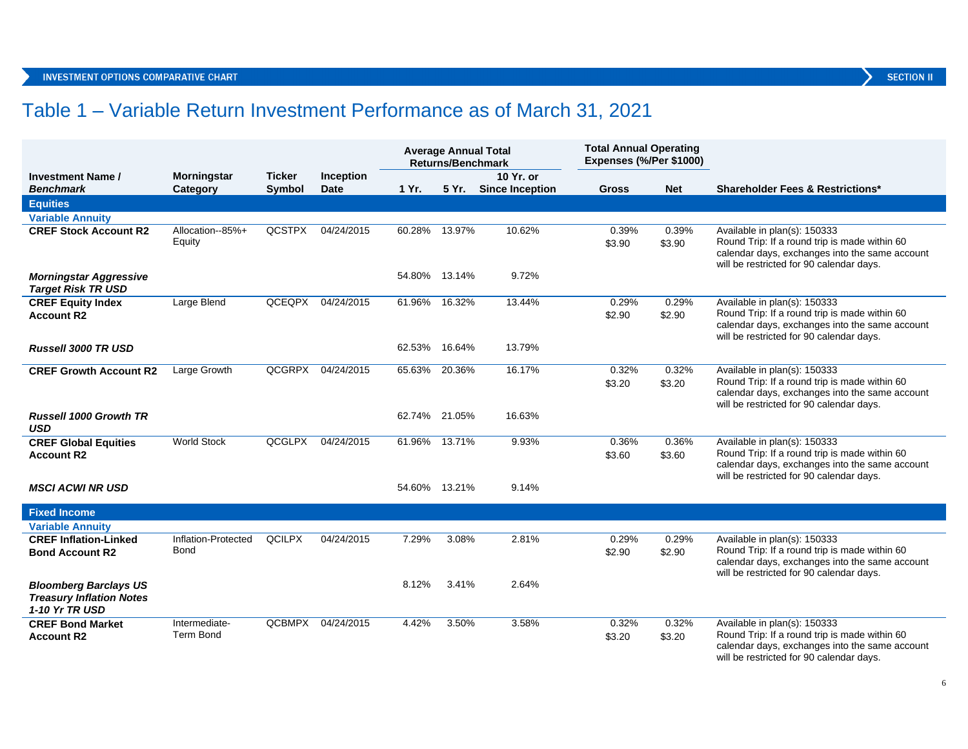## Table 1 – Variable Return Investment Performance as of March 31, 2021

|                                                                                          |                                   |               |                   |               | <b>Average Annual Total</b><br><b>Returns/Benchmark</b> |                       | <b>Total Annual Operating</b><br>Expenses (%/Per \$1000) |                 |                                                                                                                                                                             |
|------------------------------------------------------------------------------------------|-----------------------------------|---------------|-------------------|---------------|---------------------------------------------------------|-----------------------|----------------------------------------------------------|-----------------|-----------------------------------------------------------------------------------------------------------------------------------------------------------------------------|
| <b>Investment Name /</b>                                                                 | <b>Morningstar</b>                | <b>Ticker</b> | Inception         |               |                                                         | 10 Yr. or             |                                                          |                 |                                                                                                                                                                             |
| <b>Benchmark</b>                                                                         | Category                          | Symbol        | <b>Date</b>       | 1 Yr.         |                                                         | 5 Yr. Since Inception | Gross                                                    | <b>Net</b>      | <b>Shareholder Fees &amp; Restrictions*</b>                                                                                                                                 |
| <b>Equities</b>                                                                          |                                   |               |                   |               |                                                         |                       |                                                          |                 |                                                                                                                                                                             |
| <b>Variable Annuity</b>                                                                  |                                   |               |                   |               |                                                         |                       |                                                          |                 |                                                                                                                                                                             |
| <b>CREF Stock Account R2</b>                                                             | Allocation--85%+<br>Equity        | <b>QCSTPX</b> | 04/24/2015        | 60.28%        | 13.97%                                                  | 10.62%                | 0.39%<br>\$3.90                                          | 0.39%<br>\$3.90 | Available in plan(s): 150333<br>Round Trip: If a round trip is made within 60<br>calendar days, exchanges into the same account<br>will be restricted for 90 calendar days. |
| <b>Morningstar Aggressive</b><br><b>Target Risk TR USD</b>                               |                                   |               |                   | 54.80% 13.14% |                                                         | 9.72%                 |                                                          |                 |                                                                                                                                                                             |
| <b>CREF Equity Index</b><br><b>Account R2</b>                                            | Large Blend                       | QCEQPX        | 04/24/2015        | 61.96%        | 16.32%                                                  | 13.44%                | 0.29%<br>\$2.90                                          | 0.29%<br>\$2.90 | Available in plan(s): 150333<br>Round Trip: If a round trip is made within 60<br>calendar days, exchanges into the same account<br>will be restricted for 90 calendar days. |
| <b>Russell 3000 TR USD</b>                                                               |                                   |               |                   | 62.53% 16.64% |                                                         | 13.79%                |                                                          |                 |                                                                                                                                                                             |
| <b>CREF Growth Account R2</b>                                                            | Large Growth                      | QCGRPX        | 04/24/2015        | 65.63%        | 20.36%                                                  | 16.17%                | 0.32%<br>\$3.20                                          | 0.32%<br>\$3.20 | Available in plan(s): 150333<br>Round Trip: If a round trip is made within 60<br>calendar days, exchanges into the same account<br>will be restricted for 90 calendar days. |
| <b>Russell 1000 Growth TR</b><br>USD                                                     |                                   |               |                   | 62.74% 21.05% |                                                         | 16.63%                |                                                          |                 |                                                                                                                                                                             |
| <b>CREF Global Equities</b><br><b>Account R2</b>                                         | <b>World Stock</b>                | QCGLPX        | 04/24/2015        | 61.96% 13.71% |                                                         | 9.93%                 | 0.36%<br>\$3.60                                          | 0.36%<br>\$3.60 | Available in plan(s): 150333<br>Round Trip: If a round trip is made within 60<br>calendar days, exchanges into the same account<br>will be restricted for 90 calendar days. |
| <b>MSCI ACWI NR USD</b>                                                                  |                                   |               |                   | 54.60% 13.21% |                                                         | 9.14%                 |                                                          |                 |                                                                                                                                                                             |
| <b>Fixed Income</b>                                                                      |                                   |               |                   |               |                                                         |                       |                                                          |                 |                                                                                                                                                                             |
| <b>Variable Annuity</b>                                                                  |                                   |               |                   |               |                                                         |                       |                                                          |                 |                                                                                                                                                                             |
| <b>CREF Inflation-Linked</b><br><b>Bond Account R2</b>                                   | Inflation-Protected<br>Bond       | <b>QCILPX</b> | 04/24/2015        | 7.29%         | 3.08%                                                   | 2.81%                 | 0.29%<br>\$2.90                                          | 0.29%<br>\$2.90 | Available in plan(s): 150333<br>Round Trip: If a round trip is made within 60<br>calendar days, exchanges into the same account<br>will be restricted for 90 calendar days. |
| <b>Bloomberg Barclays US</b><br><b>Treasury Inflation Notes</b><br><b>1-10 Yr TR USD</b> |                                   |               |                   | 8.12%         | 3.41%                                                   | 2.64%                 |                                                          |                 |                                                                                                                                                                             |
| <b>CREF Bond Market</b><br><b>Account R2</b>                                             | Intermediate-<br><b>Term Bond</b> |               | QCBMPX 04/24/2015 | 4.42%         | 3.50%                                                   | 3.58%                 | 0.32%<br>\$3.20                                          | 0.32%<br>\$3.20 | Available in plan(s): 150333<br>Round Trip: If a round trip is made within 60<br>calendar days, exchanges into the same account<br>will be restricted for 90 calendar days. |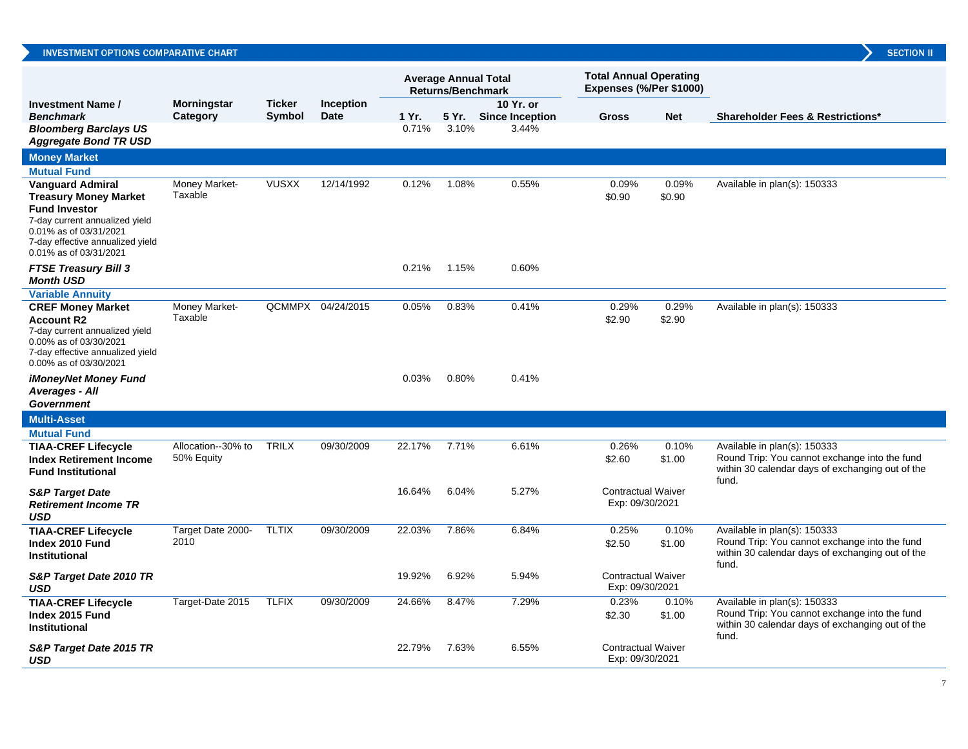|                                                                                                                                                                                                           |                                  |                         |                          | <b>Average Annual Total</b><br><b>Returns/Benchmark</b> |       | <b>Total Annual Operating</b><br>Expenses (%/Per \$1000) |                                              |                 |                                                                                                                                            |
|-----------------------------------------------------------------------------------------------------------------------------------------------------------------------------------------------------------|----------------------------------|-------------------------|--------------------------|---------------------------------------------------------|-------|----------------------------------------------------------|----------------------------------------------|-----------------|--------------------------------------------------------------------------------------------------------------------------------------------|
| <b>Investment Name /</b><br><b>Benchmark</b>                                                                                                                                                              | <b>Morningstar</b><br>Category   | <b>Ticker</b><br>Symbol | Inception<br><b>Date</b> | 1 Yr.                                                   |       | 10 Yr. or<br>5 Yr. Since Inception                       | <b>Gross</b>                                 | <b>Net</b>      | <b>Shareholder Fees &amp; Restrictions*</b>                                                                                                |
| <b>Bloomberg Barclays US</b><br><b>Aggregate Bond TR USD</b>                                                                                                                                              |                                  |                         |                          | 0.71%                                                   | 3.10% | 3.44%                                                    |                                              |                 |                                                                                                                                            |
| <b>Money Market</b>                                                                                                                                                                                       |                                  |                         |                          |                                                         |       |                                                          |                                              |                 |                                                                                                                                            |
| <b>Mutual Fund</b>                                                                                                                                                                                        |                                  |                         |                          |                                                         |       |                                                          |                                              |                 |                                                                                                                                            |
| <b>Vanguard Admiral</b><br><b>Treasury Money Market</b><br><b>Fund Investor</b><br>7-day current annualized yield<br>0.01% as of 03/31/2021<br>7-day effective annualized yield<br>0.01% as of 03/31/2021 | Money Market-<br>Taxable         | <b>VUSXX</b>            | 12/14/1992               | 0.12%                                                   | 1.08% | 0.55%                                                    | 0.09%<br>\$0.90                              | 0.09%<br>\$0.90 | Available in plan(s): 150333                                                                                                               |
| <b>FTSE Treasury Bill 3</b><br><b>Month USD</b>                                                                                                                                                           |                                  |                         |                          | 0.21%                                                   | 1.15% | 0.60%                                                    |                                              |                 |                                                                                                                                            |
| <b>Variable Annuity</b>                                                                                                                                                                                   |                                  |                         |                          |                                                         |       |                                                          |                                              |                 |                                                                                                                                            |
| <b>CREF Money Market</b><br><b>Account R2</b><br>7-day current annualized yield<br>0.00% as of 03/30/2021<br>7-day effective annualized yield<br>0.00% as of 03/30/2021                                   | Money Market-<br>Taxable         |                         | QCMMPX 04/24/2015        | 0.05%                                                   | 0.83% | 0.41%                                                    | 0.29%<br>\$2.90                              | 0.29%<br>\$2.90 | Available in plan(s): 150333                                                                                                               |
| iMoneyNet Money Fund<br>Averages - All<br><b>Government</b>                                                                                                                                               |                                  |                         |                          | 0.03%                                                   | 0.80% | 0.41%                                                    |                                              |                 |                                                                                                                                            |
| <b>Multi-Asset</b>                                                                                                                                                                                        |                                  |                         |                          |                                                         |       |                                                          |                                              |                 |                                                                                                                                            |
| <b>Mutual Fund</b>                                                                                                                                                                                        |                                  |                         |                          |                                                         |       |                                                          |                                              |                 |                                                                                                                                            |
| <b>TIAA-CREF Lifecycle</b><br><b>Index Retirement Income</b><br><b>Fund Institutional</b>                                                                                                                 | Allocation--30% to<br>50% Equity | <b>TRILX</b>            | 09/30/2009               | 22.17%                                                  | 7.71% | 6.61%                                                    | 0.26%<br>\$2.60                              | 0.10%<br>\$1.00 | Available in plan(s): 150333<br>Round Trip: You cannot exchange into the fund<br>within 30 calendar days of exchanging out of the<br>fund. |
| <b>S&amp;P Target Date</b><br><b>Retirement Income TR</b><br><b>USD</b>                                                                                                                                   |                                  |                         |                          | 16.64%                                                  | 6.04% | 5.27%                                                    | <b>Contractual Waiver</b><br>Exp: 09/30/2021 |                 |                                                                                                                                            |
| <b>TIAA-CREF Lifecycle</b><br>Index 2010 Fund<br><b>Institutional</b>                                                                                                                                     | Target Date 2000-<br>2010        | <b>TLTIX</b>            | 09/30/2009               | 22.03%                                                  | 7.86% | 6.84%                                                    | 0.25%<br>\$2.50                              | 0.10%<br>\$1.00 | Available in plan(s): 150333<br>Round Trip: You cannot exchange into the fund<br>within 30 calendar days of exchanging out of the<br>fund. |
| S&P Target Date 2010 TR<br><b>USD</b>                                                                                                                                                                     |                                  |                         |                          | 19.92%                                                  | 6.92% | 5.94%                                                    | <b>Contractual Waiver</b><br>Exp: 09/30/2021 |                 |                                                                                                                                            |
| <b>TIAA-CREF Lifecycle</b><br>Index 2015 Fund<br><b>Institutional</b>                                                                                                                                     | Target-Date 2015                 | <b>TLFIX</b>            | 09/30/2009               | 24.66%                                                  | 8.47% | 7.29%                                                    | 0.23%<br>\$2.30                              | 0.10%<br>\$1.00 | Available in plan(s): 150333<br>Round Trip: You cannot exchange into the fund<br>within 30 calendar days of exchanging out of the<br>fund. |
| S&P Target Date 2015 TR<br><b>USD</b>                                                                                                                                                                     |                                  |                         |                          | 22.79%                                                  | 7.63% | 6.55%                                                    | <b>Contractual Waiver</b><br>Exp: 09/30/2021 |                 |                                                                                                                                            |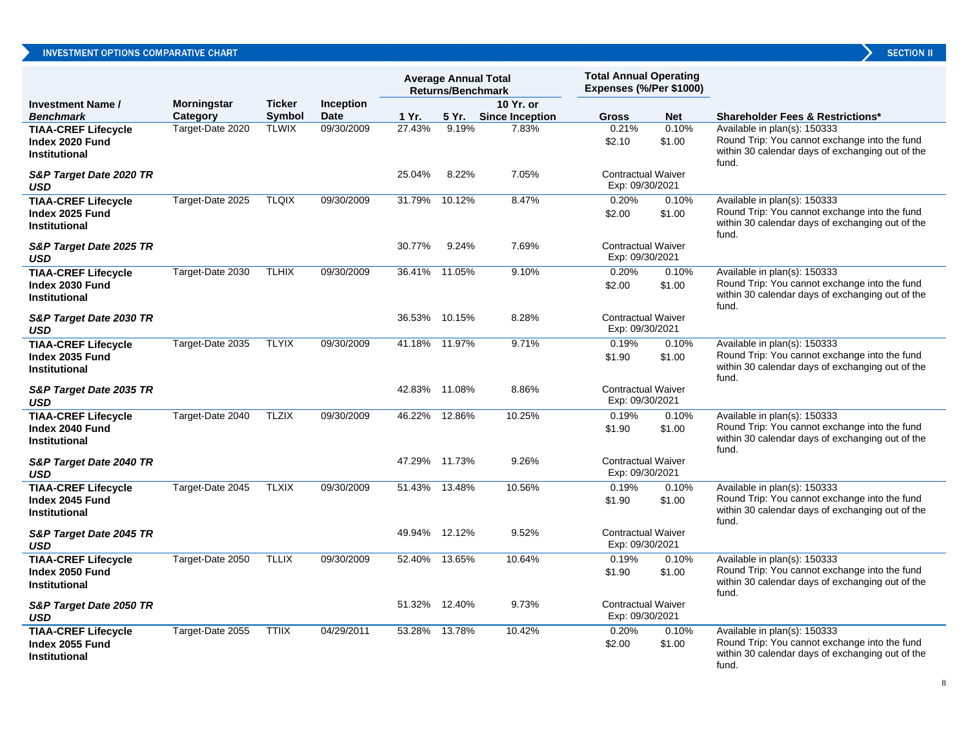|                                                                       |                    |               |                  | <b>Average Annual Total</b><br><b>Returns/Benchmark</b> |        | <b>Total Annual Operating</b><br>Expenses (%/Per \$1000) |                                              |                 |                                                                                                                                            |
|-----------------------------------------------------------------------|--------------------|---------------|------------------|---------------------------------------------------------|--------|----------------------------------------------------------|----------------------------------------------|-----------------|--------------------------------------------------------------------------------------------------------------------------------------------|
| Investment Name /                                                     | <b>Morningstar</b> | <b>Ticker</b> | <b>Inception</b> |                                                         |        | 10 Yr. or                                                |                                              |                 |                                                                                                                                            |
| Benchmark                                                             | Category           | Symbol        | <b>Date</b>      | 1 Yr.                                                   | 5 Yr.  | <b>Since Inception</b>                                   | <b>Gross</b>                                 | <b>Net</b>      | <b>Shareholder Fees &amp; Restrictions*</b>                                                                                                |
| <b>TIAA-CREF Lifecycle</b><br>Index 2020 Fund<br>Institutional        | Target-Date 2020   | <b>TLWIX</b>  | 09/30/2009       | 27.43%                                                  | 9.19%  | 7.83%                                                    | 0.21%<br>\$2.10                              | 0.10%<br>\$1.00 | Available in plan(s): 150333<br>Round Trip: You cannot exchange into the fund<br>within 30 calendar days of exchanging out of the<br>fund. |
| S&P Target Date 2020 TR<br>USD                                        |                    |               |                  | 25.04%                                                  | 8.22%  | 7.05%                                                    | <b>Contractual Waiver</b><br>Exp: 09/30/2021 |                 |                                                                                                                                            |
| <b>TIAA-CREF Lifecycle</b><br>Index 2025 Fund<br>Institutional        | Target-Date 2025   | <b>TLQIX</b>  | 09/30/2009       | 31.79%                                                  | 10.12% | 8.47%                                                    | 0.20%<br>\$2.00                              | 0.10%<br>\$1.00 | Available in plan(s): 150333<br>Round Trip: You cannot exchange into the fund<br>within 30 calendar days of exchanging out of the<br>fund. |
| S&P Target Date 2025 TR<br>USD                                        |                    |               |                  | 30.77%                                                  | 9.24%  | 7.69%                                                    | <b>Contractual Waiver</b><br>Exp: 09/30/2021 |                 |                                                                                                                                            |
| <b>TIAA-CREF Lifecycle</b><br>Index 2030 Fund<br><b>Institutional</b> | Target-Date 2030   | <b>TLHIX</b>  | 09/30/2009       | 36.41%                                                  | 11.05% | 9.10%                                                    | 0.20%<br>\$2.00                              | 0.10%<br>\$1.00 | Available in plan(s): 150333<br>Round Trip: You cannot exchange into the fund<br>within 30 calendar days of exchanging out of the<br>fund. |
| S&P Target Date 2030 TR<br>USD                                        |                    |               |                  | 36.53%                                                  | 10.15% | 8.28%                                                    | <b>Contractual Waiver</b><br>Exp: 09/30/2021 |                 |                                                                                                                                            |
| <b>TIAA-CREF Lifecycle</b><br>Index 2035 Fund<br><b>Institutional</b> | Target-Date 2035   | <b>TLYIX</b>  | 09/30/2009       | 41.18%                                                  | 11.97% | 9.71%                                                    | 0.19%<br>\$1.90                              | 0.10%<br>\$1.00 | Available in plan(s): 150333<br>Round Trip: You cannot exchange into the fund<br>within 30 calendar days of exchanging out of the<br>fund. |
| S&P Target Date 2035 TR<br>USD                                        |                    |               |                  | 42.83%                                                  | 11.08% | 8.86%                                                    | <b>Contractual Waiver</b><br>Exp: 09/30/2021 |                 |                                                                                                                                            |
| <b>TIAA-CREF Lifecycle</b><br>Index 2040 Fund<br>Institutional        | Target-Date 2040   | <b>TLZIX</b>  | 09/30/2009       | 46.22%                                                  | 12.86% | 10.25%                                                   | 0.19%<br>\$1.90                              | 0.10%<br>\$1.00 | Available in plan(s): 150333<br>Round Trip: You cannot exchange into the fund<br>within 30 calendar days of exchanging out of the<br>fund. |
| S&P Target Date 2040 TR<br>USD                                        |                    |               |                  | 47.29%                                                  | 11.73% | 9.26%                                                    | <b>Contractual Waiver</b><br>Exp: 09/30/2021 |                 |                                                                                                                                            |
| <b>TIAA-CREF Lifecycle</b><br>Index 2045 Fund<br>Institutional        | Target-Date 2045   | <b>TLXIX</b>  | 09/30/2009       | 51.43%                                                  | 13.48% | 10.56%                                                   | 0.19%<br>\$1.90                              | 0.10%<br>\$1.00 | Available in plan(s): 150333<br>Round Trip: You cannot exchange into the fund<br>within 30 calendar days of exchanging out of the<br>fund. |
| S&P Target Date 2045 TR<br>USD                                        |                    |               |                  | 49.94%                                                  | 12.12% | 9.52%                                                    | <b>Contractual Waiver</b><br>Exp: 09/30/2021 |                 |                                                                                                                                            |
| <b>TIAA-CREF Lifecycle</b><br>Index 2050 Fund<br>Institutional        | Target-Date 2050   | <b>TLLIX</b>  | 09/30/2009       | 52.40%                                                  | 13.65% | 10.64%                                                   | 0.19%<br>\$1.90                              | 0.10%<br>\$1.00 | Available in plan(s): 150333<br>Round Trip: You cannot exchange into the fund<br>within 30 calendar days of exchanging out of the<br>fund. |
| S&P Target Date 2050 TR<br>USD                                        |                    |               |                  | 51.32%                                                  | 12.40% | 9.73%                                                    | <b>Contractual Waiver</b><br>Exp: 09/30/2021 |                 |                                                                                                                                            |
| <b>TIAA-CREF Lifecycle</b><br>Index 2055 Fund<br>Institutional        | Target-Date 2055   | <b>TTIIX</b>  | 04/29/2011       | 53.28%                                                  | 13.78% | 10.42%                                                   | 0.20%<br>\$2.00                              | 0.10%<br>\$1.00 | Available in plan(s): 150333<br>Round Trip: You cannot exchange into the fund<br>within 30 calendar days of exchanging out of the<br>fund. |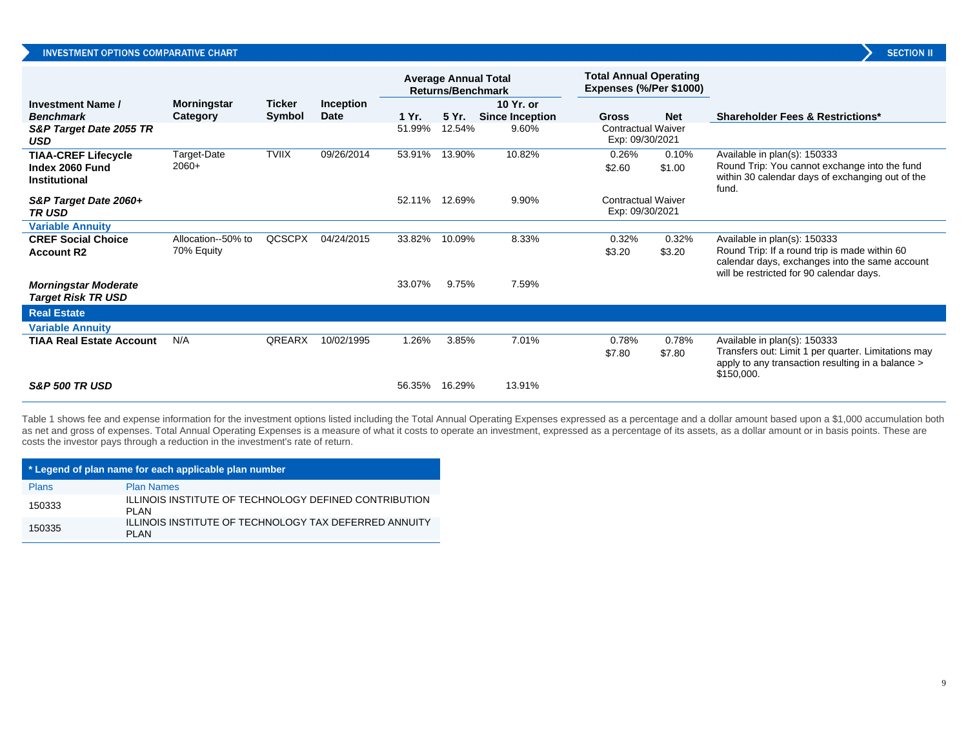|                                                          |                    |               |                  | <b>Average Annual Total</b><br><b>Returns/Benchmark</b> |        | <b>Total Annual Operating</b><br>Expenses (%/Per \$1000) |                                              |                 |                                                                                                                                             |
|----------------------------------------------------------|--------------------|---------------|------------------|---------------------------------------------------------|--------|----------------------------------------------------------|----------------------------------------------|-----------------|---------------------------------------------------------------------------------------------------------------------------------------------|
| <b>Investment Name /</b>                                 | <b>Morningstar</b> | Ticker        | <b>Inception</b> |                                                         |        | 10 Yr. or                                                |                                              |                 |                                                                                                                                             |
| <b>Benchmark</b>                                         | Category           | Symbol        | <b>Date</b>      | 1 Yr.                                                   | 5 Yr.  | <b>Since Inception</b>                                   | <b>Gross</b>                                 | <b>Net</b>      | <b>Shareholder Fees &amp; Restrictions*</b>                                                                                                 |
| S&P Target Date 2055 TR<br><b>USD</b>                    |                    |               |                  | 51.99%                                                  | 12.54% | 9.60%                                                    | <b>Contractual Waiver</b><br>Exp: 09/30/2021 |                 |                                                                                                                                             |
| <b>TIAA-CREF Lifecycle</b>                               | <b>Target-Date</b> | <b>TVIIX</b>  | 09/26/2014       | 53.91%                                                  | 13.90% | 10.82%                                                   | 0.26%                                        | 0.10%           | Available in plan(s): 150333                                                                                                                |
| Index 2060 Fund<br>Institutional                         | $2060+$            |               |                  |                                                         |        |                                                          | \$2.60                                       | \$1.00          | Round Trip: You cannot exchange into the fund<br>within 30 calendar days of exchanging out of the<br>fund.                                  |
| S&P Target Date 2060+<br><b>TRUSD</b>                    |                    |               |                  | 52.11%                                                  | 12.69% | 9.90%                                                    | <b>Contractual Waiver</b><br>Exp: 09/30/2021 |                 |                                                                                                                                             |
| <b>Variable Annuity</b>                                  |                    |               |                  |                                                         |        |                                                          |                                              |                 |                                                                                                                                             |
| <b>CREF Social Choice</b>                                | Allocation--50% to | <b>QCSCPX</b> | 04/24/2015       | 33.82%                                                  | 10.09% | 8.33%                                                    | 0.32%                                        | 0.32%           | Available in plan(s): 150333                                                                                                                |
| <b>Account R2</b>                                        | 70% Equity         |               |                  |                                                         |        |                                                          | \$3.20                                       | \$3.20          | Round Trip: If a round trip is made within 60<br>calendar days, exchanges into the same account<br>will be restricted for 90 calendar days. |
| <b>Morningstar Moderate</b><br><b>Target Risk TR USD</b> |                    |               |                  | 33.07%                                                  | 9.75%  | 7.59%                                                    |                                              |                 |                                                                                                                                             |
| <b>Real Estate</b>                                       |                    |               |                  |                                                         |        |                                                          |                                              |                 |                                                                                                                                             |
| <b>Variable Annuity</b>                                  |                    |               |                  |                                                         |        |                                                          |                                              |                 |                                                                                                                                             |
| <b>TIAA Real Estate Account</b>                          | N/A                | QREARX        | 10/02/1995       | 1.26%                                                   | 3.85%  | 7.01%                                                    | 0.78%<br>\$7.80                              | 0.78%<br>\$7.80 | Available in plan(s): 150333<br>Transfers out: Limit 1 per quarter. Limitations may<br>apply to any transaction resulting in a balance >    |
| <b>S&amp;P 500 TR USD</b>                                |                    |               |                  | 56.35%                                                  | 16.29% | 13.91%                                                   |                                              |                 | \$150,000.                                                                                                                                  |

Table 1 shows fee and expense information for the investment options listed including the Total Annual Operating Expenses expressed as a percentage and a dollar amount based upon a \$1,000 accumulation both as net and gross of expenses. Total Annual Operating Expenses is a measure of what it costs to operate an investment, expressed as a percentage of its assets, as a dollar amount or in basis points. These are costs the investor pays through a reduction in the investment's rate of return.

| * Legend of plan name for each applicable plan number |                                                                       |  |  |  |  |  |  |  |
|-------------------------------------------------------|-----------------------------------------------------------------------|--|--|--|--|--|--|--|
| <b>Plans</b>                                          | <b>Plan Names</b>                                                     |  |  |  |  |  |  |  |
| 150333                                                | ILLINOIS INSTITUTE OF TECHNOLOGY DEFINED CONTRIBUTION<br>PI AN        |  |  |  |  |  |  |  |
| 150335                                                | <b>ILLINOIS INSTITUTE OF TECHNOLOGY TAX DEFERRED ANNUITY</b><br>PI AN |  |  |  |  |  |  |  |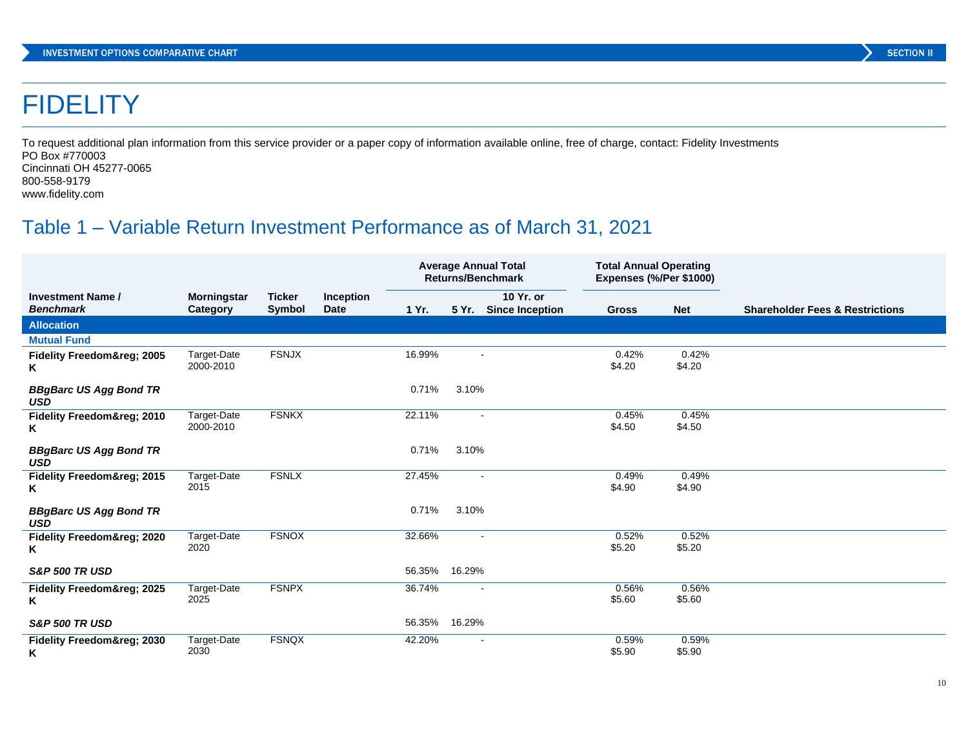## **FIDELITY**

To request additional plan information from this service provider or a paper copy of information available online, free of charge, contact: Fidelity Investments PO Box #770003 Cincinnati OH 45277-0065 800-558-9179

www.fidelity.com

## Table 1 – Variable Return Investment Performance as of March 31, 2021

|                                              |                                |                         |                          | <b>Average Annual Total</b><br><b>Returns/Benchmark</b> |        |                                     | <b>Total Annual Operating</b><br>Expenses (%/Per \$1000) |                 |                                            |
|----------------------------------------------|--------------------------------|-------------------------|--------------------------|---------------------------------------------------------|--------|-------------------------------------|----------------------------------------------------------|-----------------|--------------------------------------------|
| <b>Investment Name /</b><br><b>Benchmark</b> | <b>Morningstar</b><br>Category | <b>Ticker</b><br>Symbol | Inception<br><b>Date</b> | 1 Yr.                                                   | 5 Yr.  | 10 Yr. or<br><b>Since Inception</b> | <b>Gross</b>                                             | <b>Net</b>      | <b>Shareholder Fees &amp; Restrictions</b> |
| <b>Allocation</b>                            |                                |                         |                          |                                                         |        |                                     |                                                          |                 |                                            |
| <b>Mutual Fund</b>                           |                                |                         |                          |                                                         |        |                                     |                                                          |                 |                                            |
| <b>Fidelity Freedom® 2005</b><br>Κ           | Target-Date<br>2000-2010       | <b>FSNJX</b>            |                          | 16.99%                                                  |        | $\sim$                              | 0.42%<br>\$4.20                                          | 0.42%<br>\$4.20 |                                            |
| <b>BBgBarc US Agg Bond TR</b><br><b>USD</b>  |                                |                         |                          | 0.71%                                                   | 3.10%  |                                     |                                                          |                 |                                            |
| Fidelity Freedom® 2010<br>Κ                  | Target-Date<br>2000-2010       | <b>FSNKX</b>            |                          | 22.11%                                                  |        | $\blacksquare$                      | 0.45%<br>\$4.50                                          | 0.45%<br>\$4.50 |                                            |
| <b>BBgBarc US Agg Bond TR</b><br><b>USD</b>  |                                |                         |                          | 0.71%                                                   | 3.10%  |                                     |                                                          |                 |                                            |
| Fidelity Freedom® 2015<br>Κ                  | Target-Date<br>2015            | <b>FSNLX</b>            |                          | 27.45%                                                  |        | $\overline{\phantom{a}}$            | 0.49%<br>\$4.90                                          | 0.49%<br>\$4.90 |                                            |
| <b>BBgBarc US Agg Bond TR</b><br><b>USD</b>  |                                |                         |                          | 0.71%                                                   | 3.10%  |                                     |                                                          |                 |                                            |
| Fidelity Freedom® 2020<br>Κ                  | Target-Date<br>2020            | <b>FSNOX</b>            |                          | 32.66%                                                  |        | $\blacksquare$                      | 0.52%<br>\$5.20                                          | 0.52%<br>\$5.20 |                                            |
| <b>S&amp;P 500 TR USD</b>                    |                                |                         |                          | 56.35%                                                  | 16.29% |                                     |                                                          |                 |                                            |
| Fidelity Freedom® 2025<br>ĸ                  | Target-Date<br>2025            | <b>FSNPX</b>            |                          | 36.74%                                                  |        | $\blacksquare$                      | 0.56%<br>\$5.60                                          | 0.56%<br>\$5.60 |                                            |
| <b>S&amp;P 500 TR USD</b>                    |                                |                         |                          | 56.35%                                                  | 16.29% |                                     |                                                          |                 |                                            |
| Fidelity Freedom® 2030<br>Κ                  | Target-Date<br>2030            | <b>FSNQX</b>            |                          | 42.20%                                                  |        |                                     | 0.59%<br>\$5.90                                          | 0.59%<br>\$5.90 |                                            |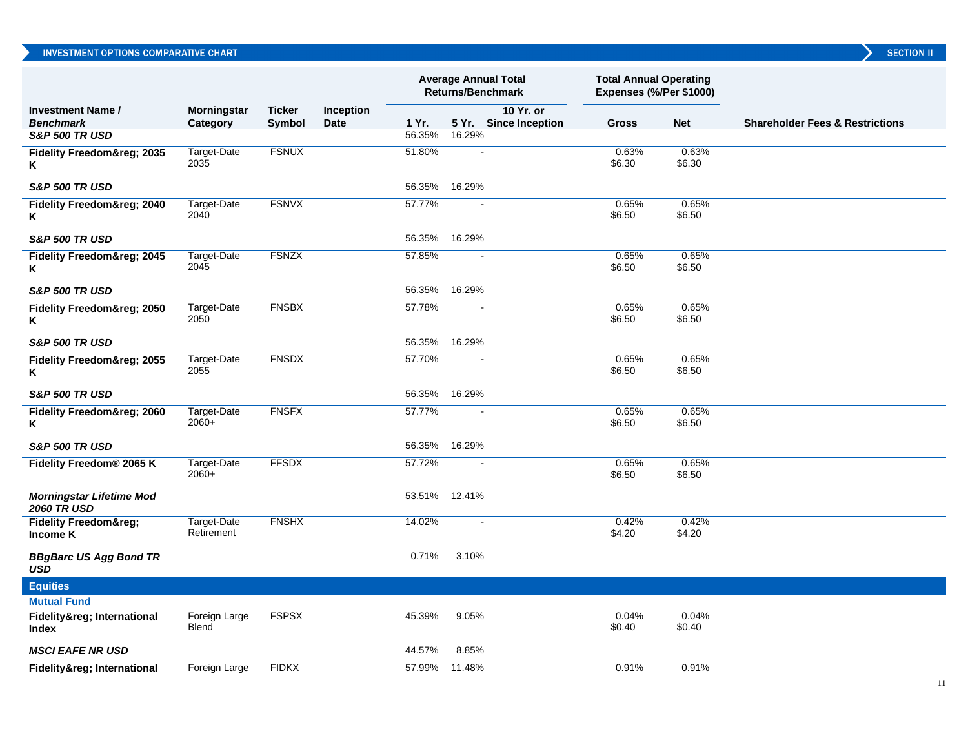|                                                       |                               |                         |                   | <b>Average Annual Total</b><br>Returns/Benchmark |                | <b>Total Annual Operating</b><br>Expenses (%/Per \$1000) |                 |                 |                                            |
|-------------------------------------------------------|-------------------------------|-------------------------|-------------------|--------------------------------------------------|----------------|----------------------------------------------------------|-----------------|-----------------|--------------------------------------------|
| <b>Investment Name /</b><br><b>Benchmark</b>          | Morningstar<br>Category       | <b>Ticker</b><br>Symbol | Inception<br>Date | 1 Yr.                                            |                | 10 Yr. or<br>5 Yr. Since Inception                       | <b>Gross</b>    | <b>Net</b>      | <b>Shareholder Fees &amp; Restrictions</b> |
| <b>S&amp;P 500 TR USD</b>                             |                               |                         |                   | 56.35%                                           | 16.29%         |                                                          |                 |                 |                                            |
| Fidelity Freedom® 2035<br>Κ                           | Target-Date<br>2035           | <b>FSNUX</b>            |                   | 51.80%                                           |                |                                                          | 0.63%<br>\$6.30 | 0.63%<br>\$6.30 |                                            |
| <b>S&amp;P 500 TR USD</b>                             |                               |                         |                   | 56.35%                                           | 16.29%         |                                                          |                 |                 |                                            |
| Fidelity Freedom® 2040<br>Κ                           | Target-Date<br>2040           | <b>FSNVX</b>            |                   | 57.77%                                           |                |                                                          | 0.65%<br>\$6.50 | 0.65%<br>\$6.50 |                                            |
| <b>S&amp;P 500 TR USD</b>                             |                               |                         |                   | 56.35%                                           | 16.29%         |                                                          |                 |                 |                                            |
| <b>Fidelity Freedom® 2045</b><br>Κ                    | Target-Date<br>2045           | <b>FSNZX</b>            |                   | 57.85%                                           |                |                                                          | 0.65%<br>\$6.50 | 0.65%<br>\$6.50 |                                            |
| <b>S&amp;P 500 TR USD</b>                             |                               |                         |                   | 56.35% 16.29%                                    |                |                                                          |                 |                 |                                            |
| Fidelity Freedom® 2050<br>Κ                           | Target-Date<br>2050           | <b>FNSBX</b>            |                   | 57.78%                                           |                |                                                          | 0.65%<br>\$6.50 | 0.65%<br>\$6.50 |                                            |
| <b>S&amp;P 500 TR USD</b>                             |                               |                         |                   | 56.35%                                           | 16.29%         |                                                          |                 |                 |                                            |
| Fidelity Freedom® 2055<br>Κ                           | Target-Date<br>2055           | <b>FNSDX</b>            |                   | 57.70%                                           | $\blacksquare$ |                                                          | 0.65%<br>\$6.50 | 0.65%<br>\$6.50 |                                            |
| <b>S&amp;P 500 TR USD</b>                             |                               |                         |                   | 56.35%                                           | 16.29%         |                                                          |                 |                 |                                            |
| Fidelity Freedom® 2060<br>Κ                           | Target-Date<br>$2060+$        | <b>FNSFX</b>            |                   | 57.77%                                           |                |                                                          | 0.65%<br>\$6.50 | 0.65%<br>\$6.50 |                                            |
| <b>S&amp;P 500 TR USD</b>                             |                               |                         |                   | 56.35%                                           | 16.29%         |                                                          |                 |                 |                                            |
| Fidelity Freedom® 2065 K                              | Target-Date<br>$2060+$        | <b>FFSDX</b>            |                   | 57.72%                                           |                |                                                          | 0.65%<br>\$6.50 | 0.65%<br>\$6.50 |                                            |
| <b>Morningstar Lifetime Mod</b><br><b>2060 TR USD</b> |                               |                         |                   | 53.51%                                           | 12.41%         |                                                          |                 |                 |                                            |
| <b>Fidelity Freedom®</b><br>Income K                  | Target-Date<br>Retirement     | <b>FNSHX</b>            |                   | 14.02%                                           |                | $\overline{a}$                                           | 0.42%<br>\$4.20 | 0.42%<br>\$4.20 |                                            |
| <b>BBgBarc US Agg Bond TR</b><br><b>USD</b>           |                               |                         |                   | 0.71%                                            | 3.10%          |                                                          |                 |                 |                                            |
| <b>Equities</b>                                       |                               |                         |                   |                                                  |                |                                                          |                 |                 |                                            |
| <b>Mutual Fund</b>                                    |                               |                         |                   |                                                  |                |                                                          |                 |                 |                                            |
| Fidelity® International<br>Index                      | Foreign Large<br><b>Blend</b> | <b>FSPSX</b>            |                   | 45.39%                                           | 9.05%          |                                                          | 0.04%<br>\$0.40 | 0.04%<br>\$0.40 |                                            |
| <b>MSCI EAFE NR USD</b>                               |                               |                         |                   | 44.57%                                           | 8.85%          |                                                          |                 |                 |                                            |
| Fidelity® International                               | Foreign Large                 | <b>FIDKX</b>            |                   | 57.99%                                           | 11.48%         |                                                          | 0.91%           | 0.91%           |                                            |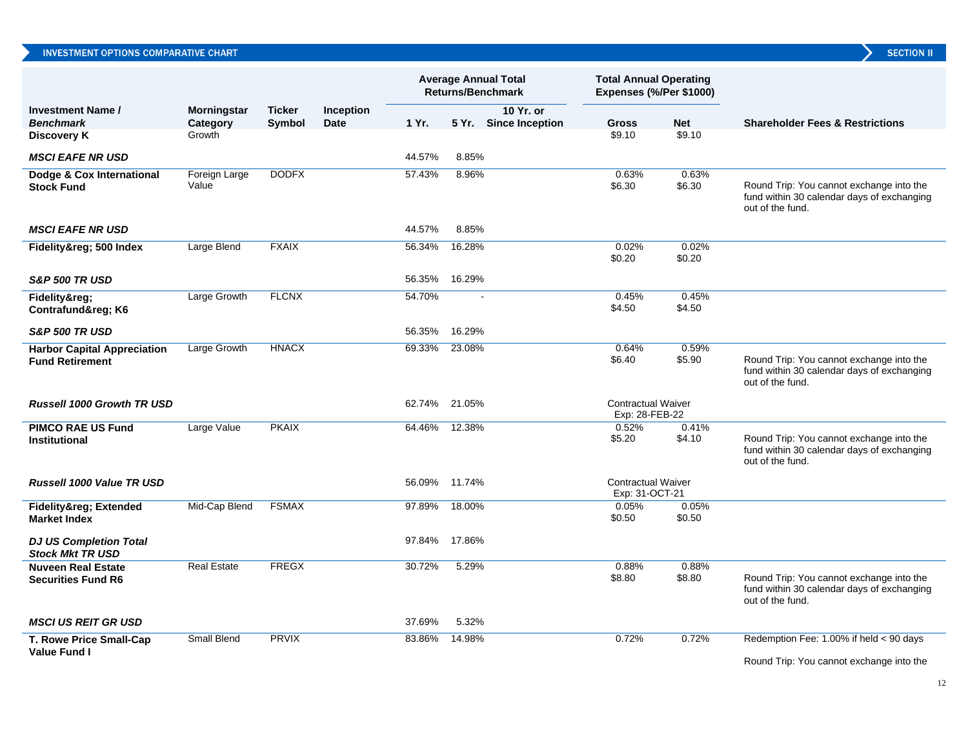|                                                              |                        |               |             | <b>Average Annual Total</b><br><b>Returns/Benchmark</b> |        | <b>Total Annual Operating</b><br>Expenses (%/Per \$1000) |                                             |                      |                                                                                                            |
|--------------------------------------------------------------|------------------------|---------------|-------------|---------------------------------------------------------|--------|----------------------------------------------------------|---------------------------------------------|----------------------|------------------------------------------------------------------------------------------------------------|
| <b>Investment Name /</b>                                     | <b>Morningstar</b>     | <b>Ticker</b> | Inception   |                                                         |        | 10 Yr. or                                                |                                             |                      |                                                                                                            |
| <b>Benchmark</b><br><b>Discovery K</b>                       | Category<br>Growth     | Symbol        | <b>Date</b> | 1 Yr.                                                   |        | 5 Yr. Since Inception                                    | <b>Gross</b><br>\$9.10                      | <b>Net</b><br>\$9.10 | <b>Shareholder Fees &amp; Restrictions</b>                                                                 |
|                                                              |                        |               |             |                                                         |        |                                                          |                                             |                      |                                                                                                            |
| <b>MSCI EAFE NR USD</b>                                      |                        |               |             | 44.57%                                                  | 8.85%  |                                                          |                                             |                      |                                                                                                            |
| Dodge & Cox International<br><b>Stock Fund</b>               | Foreign Large<br>Value | <b>DODFX</b>  |             | 57.43%                                                  | 8.96%  |                                                          | 0.63%<br>\$6.30                             | 0.63%<br>\$6.30      | Round Trip: You cannot exchange into the<br>fund within 30 calendar days of exchanging<br>out of the fund. |
| <b>MSCI EAFE NR USD</b>                                      |                        |               |             | 44.57%                                                  | 8.85%  |                                                          |                                             |                      |                                                                                                            |
| Fidelity® 500 Index                                          | Large Blend            | <b>FXAIX</b>  |             | 56.34%                                                  | 16.28% |                                                          | 0.02%<br>\$0.20                             | 0.02%<br>\$0.20      |                                                                                                            |
| <b>S&amp;P 500 TR USD</b>                                    |                        |               |             | 56.35%                                                  | 16.29% |                                                          |                                             |                      |                                                                                                            |
| Fidelity®:<br>Contrafund® K6                                 | Large Growth           | <b>FLCNX</b>  |             | 54.70%                                                  |        |                                                          | 0.45%<br>\$4.50                             | 0.45%<br>\$4.50      |                                                                                                            |
| <b>S&amp;P 500 TR USD</b>                                    |                        |               |             | 56.35%                                                  | 16.29% |                                                          |                                             |                      |                                                                                                            |
| <b>Harbor Capital Appreciation</b><br><b>Fund Retirement</b> | Large Growth           | <b>HNACX</b>  |             | 69.33%                                                  | 23.08% |                                                          | 0.64%<br>\$6.40                             | 0.59%<br>\$5.90      | Round Trip: You cannot exchange into the<br>fund within 30 calendar days of exchanging<br>out of the fund. |
| <b>Russell 1000 Growth TR USD</b>                            |                        |               |             | 62.74%                                                  | 21.05% |                                                          | <b>Contractual Waiver</b><br>Exp: 28-FEB-22 |                      |                                                                                                            |
| <b>PIMCO RAE US Fund</b><br><b>Institutional</b>             | Large Value            | <b>PKAIX</b>  |             | 64.46%                                                  | 12.38% |                                                          | 0.52%<br>\$5.20                             | 0.41%<br>\$4.10      | Round Trip: You cannot exchange into the<br>fund within 30 calendar days of exchanging<br>out of the fund. |
| <b>Russell 1000 Value TR USD</b>                             |                        |               |             | 56.09%                                                  | 11.74% |                                                          | <b>Contractual Waiver</b><br>Exp: 31-OCT-21 |                      |                                                                                                            |
| Fidelity® Extended<br><b>Market Index</b>                    | Mid-Cap Blend          | <b>FSMAX</b>  |             | 97.89%                                                  | 18.00% |                                                          | 0.05%<br>\$0.50                             | 0.05%<br>\$0.50      |                                                                                                            |
| <b>DJ US Completion Total</b><br><b>Stock Mkt TR USD</b>     |                        |               |             | 97.84%                                                  | 17.86% |                                                          |                                             |                      |                                                                                                            |
| <b>Nuveen Real Estate</b><br><b>Securities Fund R6</b>       | <b>Real Estate</b>     | <b>FREGX</b>  |             | 30.72%                                                  | 5.29%  |                                                          | 0.88%<br>\$8.80                             | 0.88%<br>\$8.80      | Round Trip: You cannot exchange into the<br>fund within 30 calendar days of exchanging<br>out of the fund. |
| <b>MSCI US REIT GR USD</b>                                   |                        |               |             | 37.69%                                                  | 5.32%  |                                                          |                                             |                      |                                                                                                            |
| T. Rowe Price Small-Cap                                      | <b>Small Blend</b>     | <b>PRVIX</b>  |             | 83.86%                                                  | 14.98% |                                                          | 0.72%                                       | 0.72%                | Redemption Fee: 1.00% if held < 90 days                                                                    |
| <b>Value Fund I</b>                                          |                        |               |             |                                                         |        |                                                          |                                             |                      | Round Trip: You cannot exchange into the                                                                   |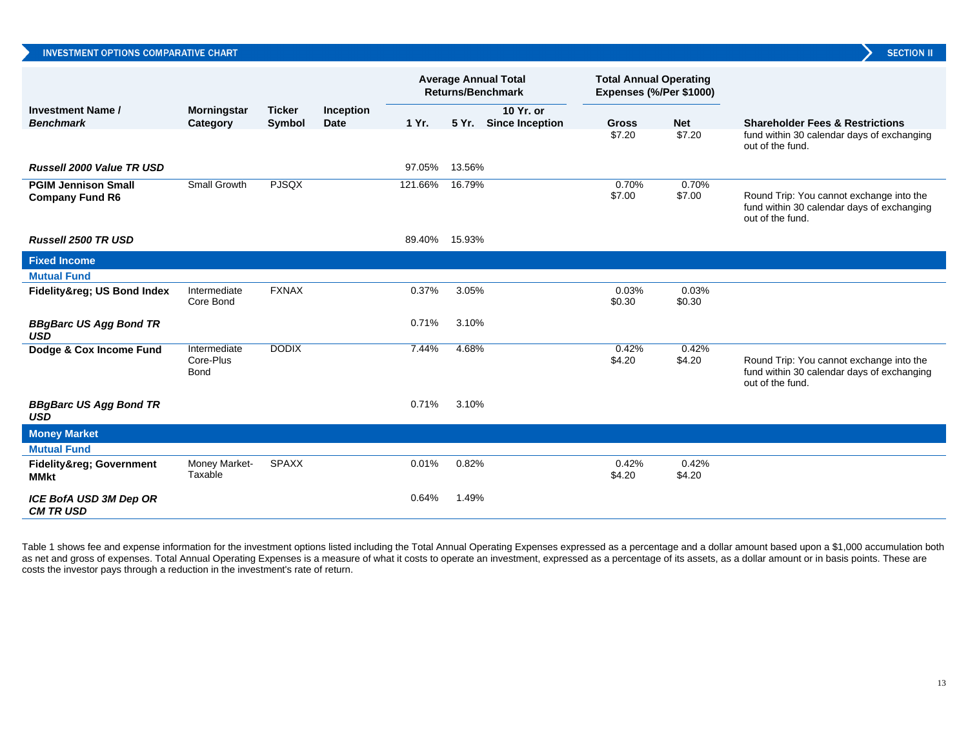| <b>INVESTMENT OPTIONS COMPARATIVE CHART</b>          |                                          |                         |                                 |         |                                                         |                                    |                                                          |                 | <b>SECTION II</b>                                                                                          |
|------------------------------------------------------|------------------------------------------|-------------------------|---------------------------------|---------|---------------------------------------------------------|------------------------------------|----------------------------------------------------------|-----------------|------------------------------------------------------------------------------------------------------------|
|                                                      |                                          |                         |                                 |         | <b>Average Annual Total</b><br><b>Returns/Benchmark</b> |                                    | <b>Total Annual Operating</b><br>Expenses (%/Per \$1000) |                 |                                                                                                            |
| <b>Investment Name/</b><br><b>Benchmark</b>          | <b>Morningstar</b><br>Category           | <b>Ticker</b><br>Symbol | <b>Inception</b><br><b>Date</b> | 1 Yr.   |                                                         | 10 Yr. or<br>5 Yr. Since Inception | <b>Gross</b>                                             | <b>Net</b>      | <b>Shareholder Fees &amp; Restrictions</b>                                                                 |
|                                                      |                                          |                         |                                 |         |                                                         |                                    | \$7.20                                                   | \$7.20          | fund within 30 calendar days of exchanging<br>out of the fund.                                             |
| <b>Russell 2000 Value TR USD</b>                     |                                          |                         |                                 | 97.05%  | 13.56%                                                  |                                    |                                                          |                 |                                                                                                            |
| <b>PGIM Jennison Small</b><br><b>Company Fund R6</b> | Small Growth                             | <b>PJSQX</b>            |                                 | 121.66% | 16.79%                                                  |                                    | 0.70%<br>\$7.00                                          | 0.70%<br>\$7.00 | Round Trip: You cannot exchange into the<br>fund within 30 calendar days of exchanging<br>out of the fund. |
| Russell 2500 TR USD                                  |                                          |                         |                                 | 89.40%  | 15.93%                                                  |                                    |                                                          |                 |                                                                                                            |
| <b>Fixed Income</b>                                  |                                          |                         |                                 |         |                                                         |                                    |                                                          |                 |                                                                                                            |
| <b>Mutual Fund</b>                                   |                                          |                         |                                 |         |                                                         |                                    |                                                          |                 |                                                                                                            |
| Fidelity® US Bond Index                              | Intermediate<br>Core Bond                | <b>FXNAX</b>            |                                 | 0.37%   | 3.05%                                                   |                                    | 0.03%<br>\$0.30                                          | 0.03%<br>\$0.30 |                                                                                                            |
| <b>BBgBarc US Agg Bond TR</b><br>USD                 |                                          |                         |                                 | 0.71%   | 3.10%                                                   |                                    |                                                          |                 |                                                                                                            |
| Dodge & Cox Income Fund                              | Intermediate<br>Core-Plus<br><b>Bond</b> | <b>DODIX</b>            |                                 | 7.44%   | 4.68%                                                   |                                    | 0.42%<br>\$4.20                                          | 0.42%<br>\$4.20 | Round Trip: You cannot exchange into the<br>fund within 30 calendar days of exchanging<br>out of the fund. |
| <b>BBgBarc US Agg Bond TR</b><br><b>USD</b>          |                                          |                         |                                 | 0.71%   | 3.10%                                                   |                                    |                                                          |                 |                                                                                                            |
| <b>Money Market</b>                                  |                                          |                         |                                 |         |                                                         |                                    |                                                          |                 |                                                                                                            |
| <b>Mutual Fund</b>                                   |                                          |                         |                                 |         |                                                         |                                    |                                                          |                 |                                                                                                            |
| <b>Fidelity® Government</b><br><b>MMkt</b>           | Money Market-<br>Taxable                 | <b>SPAXX</b>            |                                 | 0.01%   | 0.82%                                                   |                                    | 0.42%<br>\$4.20                                          | 0.42%<br>\$4.20 |                                                                                                            |
| ICE BofA USD 3M Dep OR<br><b>CM TRUSD</b>            |                                          |                         |                                 | 0.64%   | 1.49%                                                   |                                    |                                                          |                 |                                                                                                            |

Table 1 shows fee and expense information for the investment options listed including the Total Annual Operating Expenses expressed as a percentage and a dollar amount based upon a \$1,000 accumulation both as net and gross of expenses. Total Annual Operating Expenses is a measure of what it costs to operate an investment, expressed as a percentage of its assets, as a dollar amount or in basis points. These are costs the investor pays through a reduction in the investment's rate of return.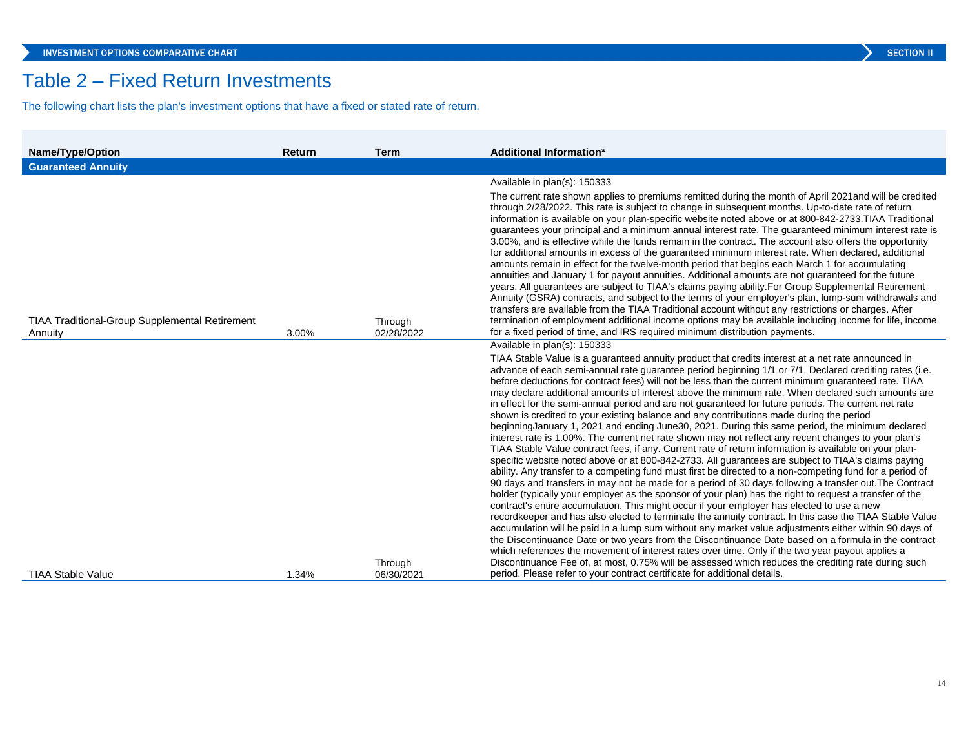## Table 2 – Fixed Return Investments

The following chart lists the plan's investment options that have a fixed or stated rate of return.

| <b>Name/Type/Option</b>                               | Return | <b>Term</b> | <b>Additional Information*</b>                                                                                                                                                                                                                                                                                                                                                                                                                                                                                                                                                                                                                                                                                                                                                                                                                                                                                                                                                                                                                                                                                                                                                                                                                                                                                                                                                                                                                                                                                                                                                                                                                                                                                                                                                                                                                                                                                                                                                                                                    |
|-------------------------------------------------------|--------|-------------|-----------------------------------------------------------------------------------------------------------------------------------------------------------------------------------------------------------------------------------------------------------------------------------------------------------------------------------------------------------------------------------------------------------------------------------------------------------------------------------------------------------------------------------------------------------------------------------------------------------------------------------------------------------------------------------------------------------------------------------------------------------------------------------------------------------------------------------------------------------------------------------------------------------------------------------------------------------------------------------------------------------------------------------------------------------------------------------------------------------------------------------------------------------------------------------------------------------------------------------------------------------------------------------------------------------------------------------------------------------------------------------------------------------------------------------------------------------------------------------------------------------------------------------------------------------------------------------------------------------------------------------------------------------------------------------------------------------------------------------------------------------------------------------------------------------------------------------------------------------------------------------------------------------------------------------------------------------------------------------------------------------------------------------|
| <b>Guaranteed Annuity</b>                             |        |             |                                                                                                                                                                                                                                                                                                                                                                                                                                                                                                                                                                                                                                                                                                                                                                                                                                                                                                                                                                                                                                                                                                                                                                                                                                                                                                                                                                                                                                                                                                                                                                                                                                                                                                                                                                                                                                                                                                                                                                                                                                   |
| <b>TIAA Traditional-Group Supplemental Retirement</b> |        | Through     | Available in plan(s): 150333<br>The current rate shown applies to premiums remitted during the month of April 2021 and will be credited<br>through 2/28/2022. This rate is subject to change in subsequent months. Up-to-date rate of return<br>information is available on your plan-specific website noted above or at 800-842-2733. TIAA Traditional<br>guarantees your principal and a minimum annual interest rate. The guaranteed minimum interest rate is<br>3.00%, and is effective while the funds remain in the contract. The account also offers the opportunity<br>for additional amounts in excess of the guaranteed minimum interest rate. When declared, additional<br>amounts remain in effect for the twelve-month period that begins each March 1 for accumulating<br>annuities and January 1 for payout annuities. Additional amounts are not guaranteed for the future<br>years. All guarantees are subject to TIAA's claims paying ability. For Group Supplemental Retirement<br>Annuity (GSRA) contracts, and subject to the terms of your employer's plan, lump-sum withdrawals and<br>transfers are available from the TIAA Traditional account without any restrictions or charges. After<br>termination of employment additional income options may be available including income for life, income<br>for a fixed period of time, and IRS required minimum distribution payments.                                                                                                                                                                                                                                                                                                                                                                                                                                                                                                                                                                                                                       |
| Annuity                                               | 3.00%  | 02/28/2022  | Available in plan(s): 150333                                                                                                                                                                                                                                                                                                                                                                                                                                                                                                                                                                                                                                                                                                                                                                                                                                                                                                                                                                                                                                                                                                                                                                                                                                                                                                                                                                                                                                                                                                                                                                                                                                                                                                                                                                                                                                                                                                                                                                                                      |
|                                                       |        | Through     | TIAA Stable Value is a guaranteed annuity product that credits interest at a net rate announced in<br>advance of each semi-annual rate guarantee period beginning 1/1 or 7/1. Declared crediting rates (i.e.<br>before deductions for contract fees) will not be less than the current minimum guaranteed rate. TIAA<br>may declare additional amounts of interest above the minimum rate. When declared such amounts are<br>in effect for the semi-annual period and are not guaranteed for future periods. The current net rate<br>shown is credited to your existing balance and any contributions made during the period<br>beginning January 1, 2021 and ending June 30, 2021. During this same period, the minimum declared<br>interest rate is 1.00%. The current net rate shown may not reflect any recent changes to your plan's<br>TIAA Stable Value contract fees, if any. Current rate of return information is available on your plan-<br>specific website noted above or at 800-842-2733. All quarantees are subject to TIAA's claims paying<br>ability. Any transfer to a competing fund must first be directed to a non-competing fund for a period of<br>90 days and transfers in may not be made for a period of 30 days following a transfer out. The Contract<br>holder (typically your employer as the sponsor of your plan) has the right to request a transfer of the<br>contract's entire accumulation. This might occur if your employer has elected to use a new<br>recordkeeper and has also elected to terminate the annuity contract. In this case the TIAA Stable Value<br>accumulation will be paid in a lump sum without any market value adjustments either within 90 days of<br>the Discontinuance Date or two years from the Discontinuance Date based on a formula in the contract<br>which references the movement of interest rates over time. Only if the two year payout applies a<br>Discontinuance Fee of, at most, 0.75% will be assessed which reduces the crediting rate during such |
| <b>TIAA Stable Value</b>                              | 1.34%  | 06/30/2021  | period. Please refer to your contract certificate for additional details.                                                                                                                                                                                                                                                                                                                                                                                                                                                                                                                                                                                                                                                                                                                                                                                                                                                                                                                                                                                                                                                                                                                                                                                                                                                                                                                                                                                                                                                                                                                                                                                                                                                                                                                                                                                                                                                                                                                                                         |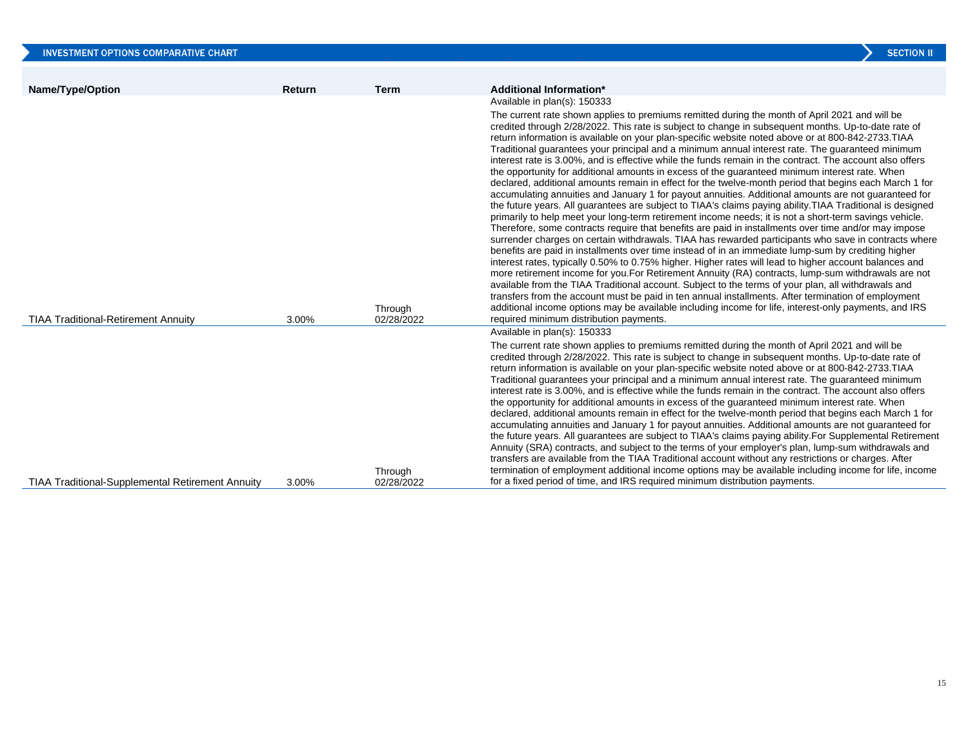|                                                         |        |                       | <b>SECTION II</b>                                                                                                                                                                                                                                                                                                                                                                                                                                                                                                                                                                                                                                                                                                                                                                                                                                                                                                                                                                                                                                                                                                                                                                                                                                                                                                                                                                                                                                                                                                                                                                                                                                                                                                                                                                                                                                                                                                                                                                                                 |
|---------------------------------------------------------|--------|-----------------------|-------------------------------------------------------------------------------------------------------------------------------------------------------------------------------------------------------------------------------------------------------------------------------------------------------------------------------------------------------------------------------------------------------------------------------------------------------------------------------------------------------------------------------------------------------------------------------------------------------------------------------------------------------------------------------------------------------------------------------------------------------------------------------------------------------------------------------------------------------------------------------------------------------------------------------------------------------------------------------------------------------------------------------------------------------------------------------------------------------------------------------------------------------------------------------------------------------------------------------------------------------------------------------------------------------------------------------------------------------------------------------------------------------------------------------------------------------------------------------------------------------------------------------------------------------------------------------------------------------------------------------------------------------------------------------------------------------------------------------------------------------------------------------------------------------------------------------------------------------------------------------------------------------------------------------------------------------------------------------------------------------------------|
|                                                         |        |                       |                                                                                                                                                                                                                                                                                                                                                                                                                                                                                                                                                                                                                                                                                                                                                                                                                                                                                                                                                                                                                                                                                                                                                                                                                                                                                                                                                                                                                                                                                                                                                                                                                                                                                                                                                                                                                                                                                                                                                                                                                   |
| Name/Type/Option                                        | Return | <b>Term</b>           | Additional Information*                                                                                                                                                                                                                                                                                                                                                                                                                                                                                                                                                                                                                                                                                                                                                                                                                                                                                                                                                                                                                                                                                                                                                                                                                                                                                                                                                                                                                                                                                                                                                                                                                                                                                                                                                                                                                                                                                                                                                                                           |
| <b>TIAA Traditional-Retirement Annuity</b>              | 3.00%  | Through<br>02/28/2022 | Available in plan(s): 150333<br>The current rate shown applies to premiums remitted during the month of April 2021 and will be<br>credited through 2/28/2022. This rate is subject to change in subsequent months. Up-to-date rate of<br>return information is available on your plan-specific website noted above or at 800-842-2733. TIAA<br>Traditional guarantees your principal and a minimum annual interest rate. The guaranteed minimum<br>interest rate is 3.00%, and is effective while the funds remain in the contract. The account also offers<br>the opportunity for additional amounts in excess of the guaranteed minimum interest rate. When<br>declared, additional amounts remain in effect for the twelve-month period that begins each March 1 for<br>accumulating annuities and January 1 for payout annuities. Additional amounts are not guaranteed for<br>the future years. All guarantees are subject to TIAA's claims paying ability. TIAA Traditional is designed<br>primarily to help meet your long-term retirement income needs; it is not a short-term savings vehicle.<br>Therefore, some contracts require that benefits are paid in installments over time and/or may impose<br>surrender charges on certain withdrawals. TIAA has rewarded participants who save in contracts where<br>benefits are paid in installments over time instead of in an immediate lump-sum by crediting higher<br>interest rates, typically 0.50% to 0.75% higher. Higher rates will lead to higher account balances and<br>more retirement income for you. For Retirement Annuity (RA) contracts, lump-sum withdrawals are not<br>available from the TIAA Traditional account. Subject to the terms of your plan, all withdrawals and<br>transfers from the account must be paid in ten annual installments. After termination of employment<br>additional income options may be available including income for life, interest-only payments, and IRS<br>required minimum distribution payments. |
|                                                         |        |                       | Available in plan(s): 150333                                                                                                                                                                                                                                                                                                                                                                                                                                                                                                                                                                                                                                                                                                                                                                                                                                                                                                                                                                                                                                                                                                                                                                                                                                                                                                                                                                                                                                                                                                                                                                                                                                                                                                                                                                                                                                                                                                                                                                                      |
| <b>TIAA Traditional-Supplemental Retirement Annuity</b> | 3.00%  | Through<br>02/28/2022 | The current rate shown applies to premiums remitted during the month of April 2021 and will be<br>credited through 2/28/2022. This rate is subject to change in subsequent months. Up-to-date rate of<br>return information is available on your plan-specific website noted above or at 800-842-2733. TIAA<br>Traditional guarantees your principal and a minimum annual interest rate. The guaranteed minimum<br>interest rate is 3.00%, and is effective while the funds remain in the contract. The account also offers<br>the opportunity for additional amounts in excess of the guaranteed minimum interest rate. When<br>declared, additional amounts remain in effect for the twelve-month period that begins each March 1 for<br>accumulating annuities and January 1 for payout annuities. Additional amounts are not guaranteed for<br>the future years. All guarantees are subject to TIAA's claims paying ability. For Supplemental Retirement<br>Annuity (SRA) contracts, and subject to the terms of your employer's plan, lump-sum withdrawals and<br>transfers are available from the TIAA Traditional account without any restrictions or charges. After<br>termination of employment additional income options may be available including income for life, income<br>for a fixed period of time, and IRS required minimum distribution payments.                                                                                                                                                                                                                                                                                                                                                                                                                                                                                                                                                                                                                                              |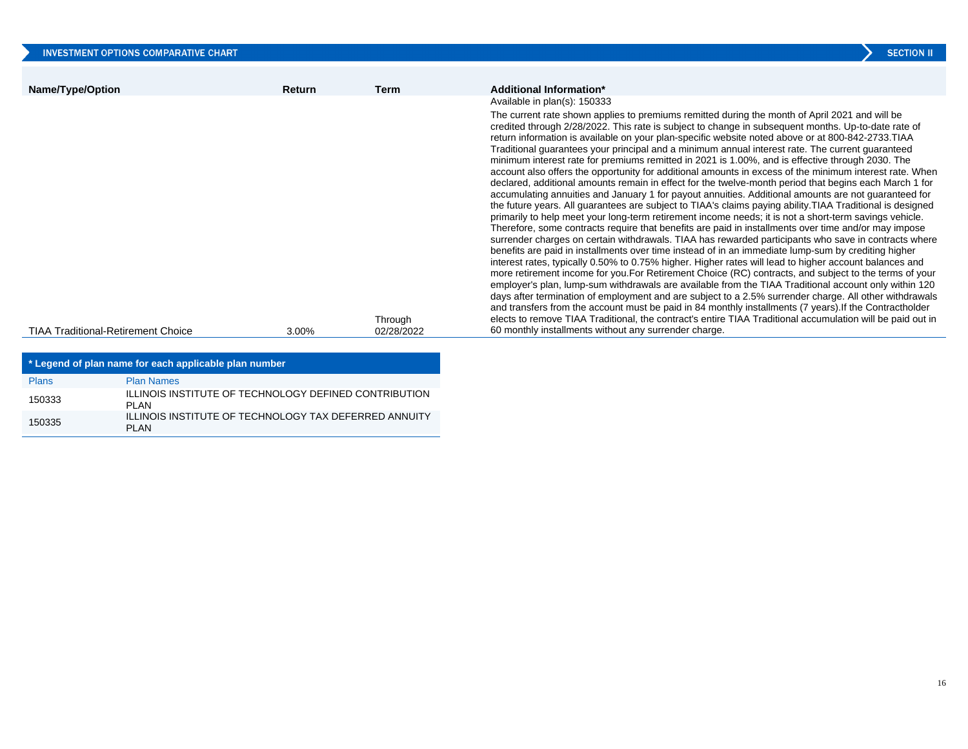| <b>INVESTMENT OPTIONS COMPARATIVE CHART</b>                                                     |        |                       | <b>SECTION II</b>                                                                                                                                                                                                                                                                                                                                                                                                                                                                                                                                                                                                                                                                                                                                                                                                                                                                                                                                                                                                                                                                                                                                                                                                                                                                                                                                                                                                                                                                                                                                                                                                                                                                                                                                                                                                                                                                                                                                                                                                                                                                                                                                        |
|-------------------------------------------------------------------------------------------------|--------|-----------------------|----------------------------------------------------------------------------------------------------------------------------------------------------------------------------------------------------------------------------------------------------------------------------------------------------------------------------------------------------------------------------------------------------------------------------------------------------------------------------------------------------------------------------------------------------------------------------------------------------------------------------------------------------------------------------------------------------------------------------------------------------------------------------------------------------------------------------------------------------------------------------------------------------------------------------------------------------------------------------------------------------------------------------------------------------------------------------------------------------------------------------------------------------------------------------------------------------------------------------------------------------------------------------------------------------------------------------------------------------------------------------------------------------------------------------------------------------------------------------------------------------------------------------------------------------------------------------------------------------------------------------------------------------------------------------------------------------------------------------------------------------------------------------------------------------------------------------------------------------------------------------------------------------------------------------------------------------------------------------------------------------------------------------------------------------------------------------------------------------------------------------------------------------------|
| Name/Type/Option                                                                                | Return | <b>Term</b>           | Additional Information*                                                                                                                                                                                                                                                                                                                                                                                                                                                                                                                                                                                                                                                                                                                                                                                                                                                                                                                                                                                                                                                                                                                                                                                                                                                                                                                                                                                                                                                                                                                                                                                                                                                                                                                                                                                                                                                                                                                                                                                                                                                                                                                                  |
| <b>TIAA Traditional-Retirement Choice</b>                                                       | 3.00%  | Through<br>02/28/2022 | Available in plan(s): 150333<br>The current rate shown applies to premiums remitted during the month of April 2021 and will be<br>credited through 2/28/2022. This rate is subject to change in subsequent months. Up-to-date rate of<br>return information is available on your plan-specific website noted above or at 800-842-2733. TIAA<br>Traditional guarantees your principal and a minimum annual interest rate. The current guaranteed<br>minimum interest rate for premiums remitted in 2021 is 1.00%, and is effective through 2030. The<br>account also offers the opportunity for additional amounts in excess of the minimum interest rate. When<br>declared, additional amounts remain in effect for the twelve-month period that begins each March 1 for<br>accumulating annuities and January 1 for payout annuities. Additional amounts are not guaranteed for<br>the future years. All guarantees are subject to TIAA's claims paying ability. TIAA Traditional is designed<br>primarily to help meet your long-term retirement income needs; it is not a short-term savings vehicle.<br>Therefore, some contracts require that benefits are paid in installments over time and/or may impose<br>surrender charges on certain withdrawals. TIAA has rewarded participants who save in contracts where<br>benefits are paid in installments over time instead of in an immediate lump-sum by crediting higher<br>interest rates, typically 0.50% to 0.75% higher. Higher rates will lead to higher account balances and<br>more retirement income for you. For Retirement Choice (RC) contracts, and subject to the terms of your<br>employer's plan, lump-sum withdrawals are available from the TIAA Traditional account only within 120<br>days after termination of employment and are subject to a 2.5% surrender charge. All other withdrawals<br>and transfers from the account must be paid in 84 monthly installments (7 years). If the Contractholder<br>elects to remove TIAA Traditional, the contract's entire TIAA Traditional accumulation will be paid out in<br>60 monthly installments without any surrender charge. |
| . While a consist of a first consistence from a profit consistencial to suffer a consistence of |        |                       |                                                                                                                                                                                                                                                                                                                                                                                                                                                                                                                                                                                                                                                                                                                                                                                                                                                                                                                                                                                                                                                                                                                                                                                                                                                                                                                                                                                                                                                                                                                                                                                                                                                                                                                                                                                                                                                                                                                                                                                                                                                                                                                                                          |

| * Legend of plan name for each applicable plan number |                                                                       |  |  |  |
|-------------------------------------------------------|-----------------------------------------------------------------------|--|--|--|
| <b>Plans</b>                                          | <b>Plan Names</b>                                                     |  |  |  |
| 150333                                                | <b>ILLINOIS INSTITUTE OF TECHNOLOGY DEFINED CONTRIBUTION</b><br>PI AN |  |  |  |
| 150335                                                | ILLINOIS INSTITUTE OF TECHNOLOGY TAX DEFERRED ANNUITY<br>PI AN        |  |  |  |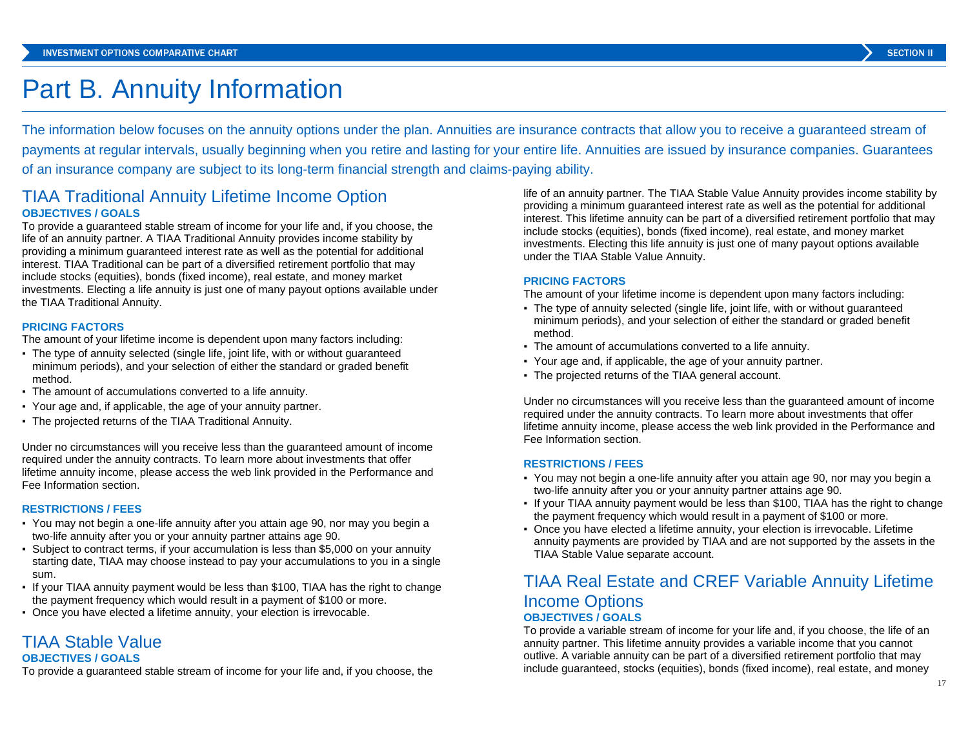## Part B. Annuity Information

The information below focuses on the annuity options under the plan. Annuities are insurance contracts that allow you to receive a guaranteed stream of payments at regular intervals, usually beginning when you retire and lasting for your entire life. Annuities are issued by insurance companies. Guarantees of an insurance company are subject to its long-term financial strength and claims-paying ability.

### TIAA Traditional Annuity Lifetime Income Option **OBJECTIVES / GOALS**

To provide a guaranteed stable stream of income for your life and, if you choose, the life of an annuity partner. A TIAA Traditional Annuity provides income stability by providing a minimum guaranteed interest rate as well as the potential for additional interest. TIAA Traditional can be part of a diversified retirement portfolio that may include stocks (equities), bonds (fixed income), real estate, and money market investments. Electing a life annuity is just one of many payout options available under the TIAA Traditional Annuity.

#### **PRICING FACTORS**

The amount of your lifetime income is dependent upon many factors including:

- The type of annuity selected (single life, joint life, with or without guaranteed minimum periods), and your selection of either the standard or graded benefit method.
- The amount of accumulations converted to a life annuity.
- Your age and, if applicable, the age of your annuity partner.
- The projected returns of the TIAA Traditional Annuity.

Under no circumstances will you receive less than the guaranteed amount of income required under the annuity contracts. To learn more about investments that offer lifetime annuity income, please access the web link provided in the Performance and Fee Information section.

#### **RESTRICTIONS / FEES**

- You may not begin a one-life annuity after you attain age 90, nor may you begin a two-life annuity after you or your annuity partner attains age 90.
- Subject to contract terms, if your accumulation is less than \$5,000 on your annuity starting date, TIAA may choose instead to pay your accumulations to you in a single sum.
- If your TIAA annuity payment would be less than \$100, TIAA has the right to change the payment frequency which would result in a payment of \$100 or more.
- Once you have elected a lifetime annuity, your election is irrevocable.

### TIAA Stable Value **OBJECTIVES / GOALS**

To provide a guaranteed stable stream of income for your life and, if you choose, the

life of an annuity partner. The TIAA Stable Value Annuity provides income stability by providing a minimum guaranteed interest rate as well as the potential for additional interest. This lifetime annuity can be part of a diversified retirement portfolio that may include stocks (equities), bonds (fixed income), real estate, and money market investments. Electing this life annuity is just one of many payout options available under the TIAA Stable Value Annuity.

#### **PRICING FACTORS**

The amount of your lifetime income is dependent upon many factors including:

- The type of annuity selected (single life, joint life, with or without guaranteed minimum periods), and your selection of either the standard or graded benefit method.
- The amount of accumulations converted to a life annuity.
- Your age and, if applicable, the age of your annuity partner.
- The projected returns of the TIAA general account.

Under no circumstances will you receive less than the guaranteed amount of income required under the annuity contracts. To learn more about investments that offer lifetime annuity income, please access the web link provided in the Performance and Fee Information section.

#### **RESTRICTIONS / FEES**

- You may not begin a one-life annuity after you attain age 90, nor may you begin a two-life annuity after you or your annuity partner attains age 90.
- If your TIAA annuity payment would be less than \$100, TIAA has the right to change the payment frequency which would result in a payment of \$100 or more.
- Once you have elected a lifetime annuity, your election is irrevocable. Lifetime annuity payments are provided by TIAA and are not supported by the assets in the TIAA Stable Value separate account.

### TIAA Real Estate and CREF Variable Annuity Lifetime Income Options **OBJECTIVES / GOALS**

To provide a variable stream of income for your life and, if you choose, the life of an annuity partner. This lifetime annuity provides a variable income that you cannot outlive. A variable annuity can be part of a diversified retirement portfolio that may include guaranteed, stocks (equities), bonds (fixed income), real estate, and money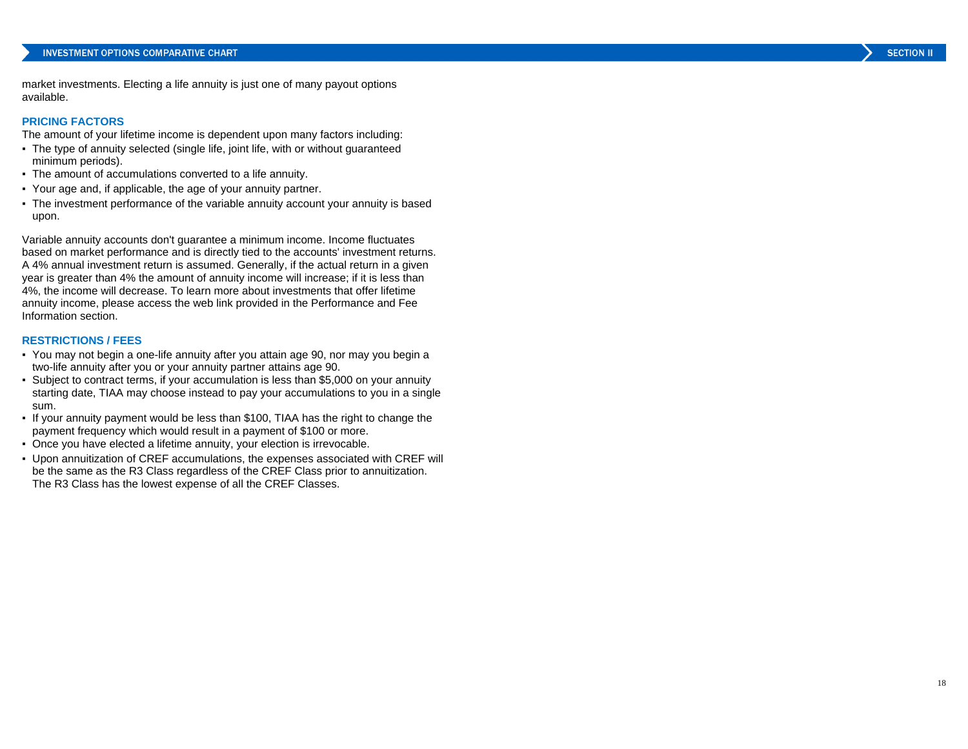market investments. Electing a life annuity is just one of many payout options available.

#### **PRICING FACTORS**

The amount of your lifetime income is dependent upon many factors including:

- The type of annuity selected (single life, joint life, with or without guaranteed minimum periods).
- The amount of accumulations converted to a life annuity.
- Your age and, if applicable, the age of your annuity partner.
- The investment performance of the variable annuity account your annuity is based upon.

Variable annuity accounts don't guarantee a minimum income. Income fluctuates based on market performance and is directly tied to the accounts' investment returns. A 4% annual investment return is assumed. Generally, if the actual return in a given year is greater than 4% the amount of annuity income will increase; if it is less than 4%, the income will decrease. To learn more about investments that offer lifetime annuity income, please access the web link provided in the Performance and Fee Information section.

#### **RESTRICTIONS / FEES**

- You may not begin a one-life annuity after you attain age 90, nor may you begin a two-life annuity after you or your annuity partner attains age 90.
- Subject to contract terms, if your accumulation is less than \$5,000 on your annuity starting date, TIAA may choose instead to pay your accumulations to you in a single sum.
- If your annuity payment would be less than \$100, TIAA has the right to change the payment frequency which would result in a payment of \$100 or more.
- Once you have elected a lifetime annuity, your election is irrevocable.
- Upon annuitization of CREF accumulations, the expenses associated with CREF will be the same as the R3 Class regardless of the CREF Class prior to annuitization. The R3 Class has the lowest expense of all the CREF Classes.